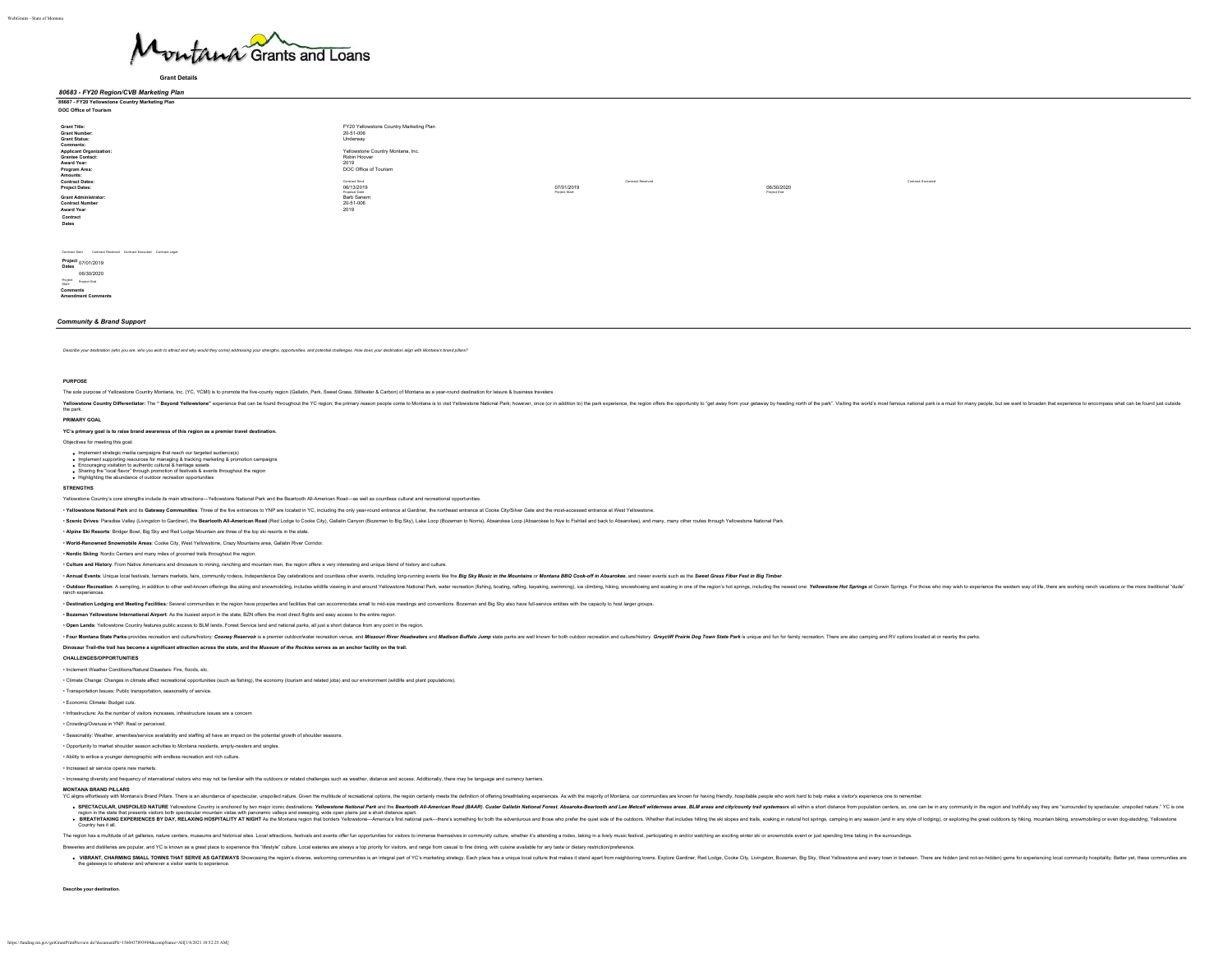

*80683 - FY20 Region/CVB Marketing Plan*

**Grant Details**

WebGrants - State of Montana

| $1.127$ $1.29$ $1.09$ $1.01$ $1.00$ $1.00$ $1.00$ $1.00$         |                                         |               |                   |             |                   |
|------------------------------------------------------------------|-----------------------------------------|---------------|-------------------|-------------|-------------------|
| 86687 - FY20 Yellowstone Country Marketing Plan                  |                                         |               |                   |             |                   |
| DOC Office of Tourism                                            |                                         |               |                   |             |                   |
|                                                                  |                                         |               |                   |             |                   |
| Grant Title:                                                     | FY20 Yellowstone Country Marketing Plan |               |                   |             |                   |
| Grant Number:                                                    | 20-51-006                               |               |                   |             |                   |
| <b>Grant Status:</b>                                             | Underway                                |               |                   |             |                   |
| Comments:                                                        |                                         |               |                   |             |                   |
| <b>Applicant Organization:</b>                                   | Yellowstone Country Montana, Inc.       |               |                   |             |                   |
| <b>Grantee Contact:</b>                                          | Robin Hoover                            |               |                   |             |                   |
| Award Year:                                                      | 2019                                    |               |                   |             |                   |
| Program Area:                                                    | DOC Office of Tourism                   |               |                   |             |                   |
| Amounts:                                                         |                                         |               |                   |             |                   |
| <b>Contract Dates:</b>                                           | Contract Sent                           |               | Contract Received |             | Contract Executed |
| <b>Project Dates:</b>                                            | 06/13/2019                              | 07/01/2019    |                   | 06/30/2020  |                   |
| <b>Grant Administrator:</b>                                      | Proposal Date<br>Barb Sanem             | Project Start |                   | Project End |                   |
| <b>Contract Number</b>                                           | 20-51-006                               |               |                   |             |                   |
| Award Year                                                       | 2019                                    |               |                   |             |                   |
|                                                                  |                                         |               |                   |             |                   |
| Contract                                                         |                                         |               |                   |             |                   |
| Dates                                                            |                                         |               |                   |             |                   |
|                                                                  |                                         |               |                   |             |                   |
|                                                                  |                                         |               |                   |             |                   |
|                                                                  |                                         |               |                   |             |                   |
| Contract Sent Contract Received Contract Executed Contract Legal |                                         |               |                   |             |                   |
|                                                                  |                                         |               |                   |             |                   |

**Project Dates** 07/01/2019 06/30/2020 Project Start Project End

**Comments Amendment Comments**

### *Community & Brand Support*

Describe your destination (who you are, who you wish to attract and why would they come) addressing your strengths, opportunities, and potential challenges. How does your destination align with Montana's brand pillars?

### **PURPOSE**

The sole purpose of Yellowstone Country Montana, Inc. (YC, YCMI) is to promote the five-county region (Gallatin, Park, Sweet Grass, Stillwater & Carbon) of Montana as a year-round destination for leisure & business travele

astone Country Differentiator: The "Beyond Yellowstone" experience that can be found throughout the YC region; the primary reason people come to Montana is to visit Yellowstone Matican Eract for wealth and the four ones th Yellowst<br>the park.

### **PRIMARY GOAL**

**YC's primary goal is to raise brand awareness of this region as a premier travel destination.**

Objectives for meeting this goal:

Implement strategic media campaigns that reach our targeted audience(s)<br>Implement supporting resources for managing & tracking marketing & promotion campaigns<br>Encouraging vistation to authentic cultural & heritage assets<br>S

Highlighting the abundance of outdoor recreation opportunities

### **STRENGTHS**

**Yone Country's core strengths include its main attractions—Yellowstone National Park and the Beartooth All-American Road—as well as countless cultural and recreational opp** 

. Yellowstone National Park and its Gateway Communities: Three of the five entrances to YNP are located in YC, including the only year-round entrance at Gardiner, the northeast entrance at Cooke City/Silver Gate and the mo

. Scenic Drives: Paradise Valley (Livingston to Gardiner), the Beartooth All-American Road (Red Lodge to Cooke City), Gallatin Canyon (Bozeman to Big Sky), Lake Loop (Bozeman to Norris), Absarckee Loop (Absarckee to Nye to

## • **Alpine Ski Resorts**: Bridger Bowl, Big Sky and Red Lodge Mountain are three of the top ski resorts in the state.

• **World-Renowned Snowmobile Areas**: Cooke City, West Yellowstone, Crazy Mountains area, Gallatin River Corridor.

• **Nordic Skiing**: Nordic Centers and many miles of groomed trails throughout the region.

• **Culture and History**: From Native Americans and dinosaurs to mining, ranching and mountain men, the region offers a very interesting and unique blend of history and culture.

. Annual Events: Unique local festivals, farmers markets, fairs, community rodeos, Independence Day celebrations and countless other events, including long-running events like the Big Sky Music in the Mountains or Montana

The region has a multitude of art galleries, nature centers, museums and historical sites. Local attractions, festivals and events offer fun opportunities for valitors to immerse themselves in community culture, whether it

· Outdoor Recreation: A sampling, in addition to other well-known offerings like aking and anounobling, includes witilile viewing in and around Yellowstone National Park, waker recreation (flating, bossing, rathing, hossin ranch experiences.

SPECTACULAR, UNSPOILED NATURE Yelowston County is andversely hwo major iconic desitedions: Yelowstone Nations/Park and the Beattoon M-American Read (BAR). Custos Realist Method hard and the effect of Metodia Metodia Metodi

. VIBRANT, CHARMING SMALL TOWNS THAT SERVE AS GATEWAYS Showcasing the region's diverse, welcoming communities is an integral part of YC's marketing strategy. Each place has a unique bcal culture that makes it stand apart f

. Destination Lodging and Meeting Facilities: Several communities in the region have properties and facilities that can accommodate small to mid-size meetings and conventions. Bozeman and Big Sky also have full-service ent

• **Bozeman Yellowstone International Airport**: As the busiest airport in the state, BZN offers the most direct flights and easy access to the entire region.

• **Open Lands**: Yellowstone Country features public access to BLM lands, Forest Service land and national parks, all just a short distance from any point in the region.

. Four Montana State Parks-provides recreation and culture/histony- Cooney Reservoir is a remier culdocolivater recreation venue, and Missouri River Headwaters and Madison Buffalo Jump state parks are well known for both o

## **Dinosaur Trail-the trail has become a significant attraction across the state, and the** *Museum of the Rockies* **serves as an anchor facility on the trail.**

### **CHALLENGES/OPPORTUNITIES**

• Inclement Weather Conditions/Natural Disasters: Fire, floods, etc.

• Climate Change: Changes in climate affect recreational opportunities (such as fishing), the economy (tourism and related jobs) and our environment (wildlife and plant populations).

• Transportation Issues: Public transportation, seasonality of service.

• Economic Climate: Budget cuts.

• Infrastructure: As the number of visitors increases, infrastructure issues are a concern

• Crowding/Overuse in YNP: Real or perceived.

• Seasonality: Weather, amenities/service availability and staffing all have an impact on the potential growth of shoulder seasons.

• Opportunity to market shoulder season activities to Montana residents, empty-nesters and singles.

• Ability to entice a younger demographic with endless recreation and rich culture.

• Increased air service opens new markets.

• Increasing diversity and frequency of international visitors who may not be familiar with the outdoors or related challenges such as weather, distance and access. Additionally, there may be language and currency barriers.

the gateways to whatever and wherever a visitor wants to ex

Country has it all.

**Describe your destination.**

https://funding.mt.gov/getGrantPrintPreview.do?documentPk=1560437893904&compName=All[1/8/2021 10:52:25 AM]

Breweries and distilleries are popular, and YC is known as a great place to experience this "lifestyle" culture. Local eateries are always a top priority for visitors, and range from casual to fine dining, with cuisine ava

MONTAMA BRAND PILARS<br>YC aligns effortessly with Montaria's Brand Pilaxs. There is an abundance of speciacidar, unspoiled nature. Given the multitude of recreational options, the region containly meets the definition of off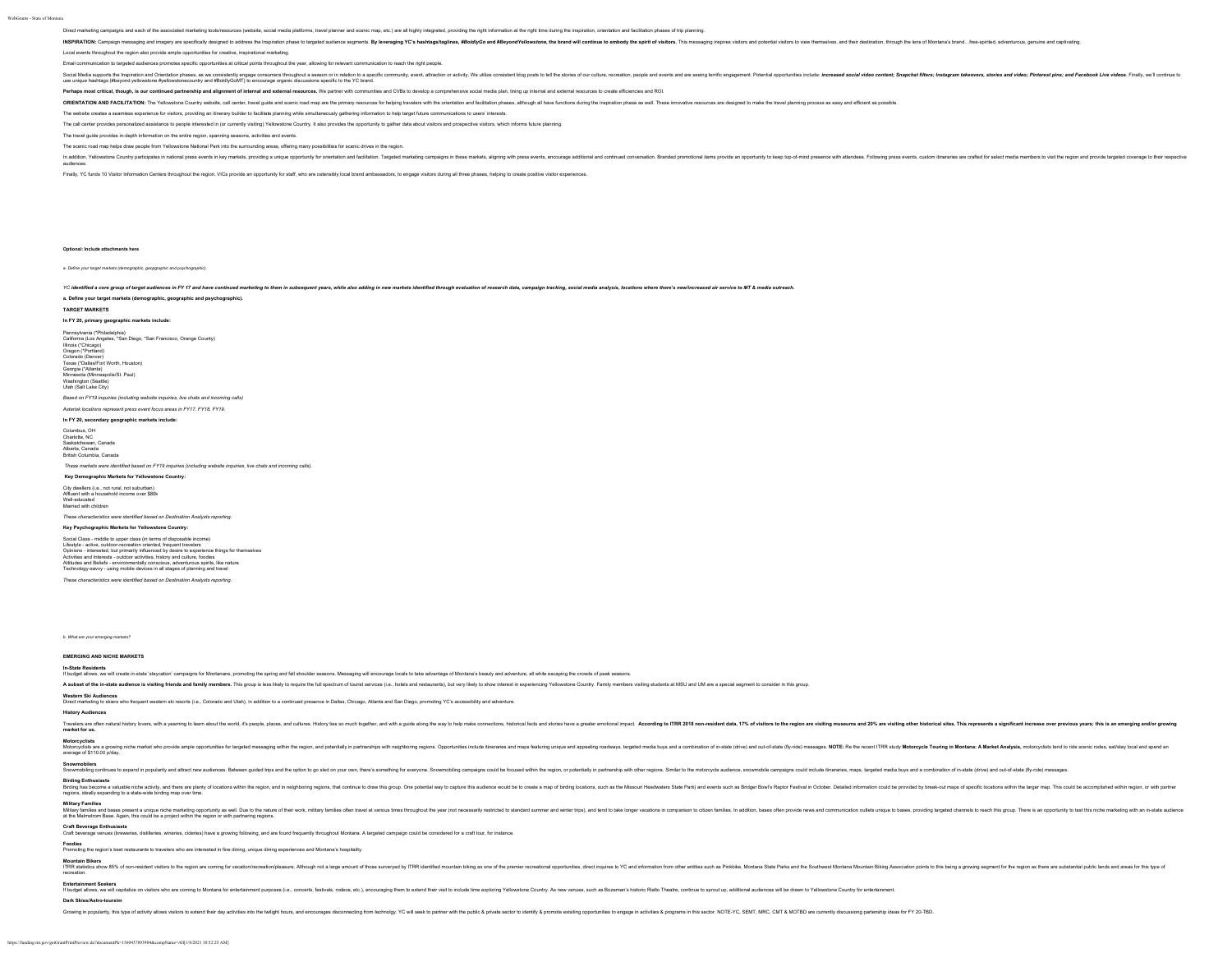Direct marketing campaigns and each of the associated marketing tools/resources (website, social media platforms, travel planner and scenic map, etc.) are all highly integrated, providing the right information at the right

INSPIRATON: Campaign messaging and imagery are specifically designed to address the inspiration phase to targeted suddence sognestion. By everaging YC's hashtagathagilines, #BoldfyGo and #BoyondYelfowstone, the brand will

Local events throughout the region also provide ample opportunities for creative, inspirational marketing.

.<br>Imunication to targeted audiences promotes specific opportunities at critical points throughout the year, allowing for relevant communication to reach the right people.

Social Media supports the Institution and District institution and and institution and and institution and and institution and institution and and institution and institution and institution and institution and institution use unique hashtags (#beyond yellowstone #yellowstonecountry and #BoldlyGoMT) to encourage organic discussions specific to the YC brand.

Perhaps most critical, though, is our continued partnership and alignment of internal and external resources. We partner with communities and GVBs to develop a comprehensive social media plan, lining up internal and extern

ORIENTATION AND FACILITATION: The Yellowstone Country website, call center, travel guide and scenic road map are the primary resources for helping tavelers with the orientation and facilitation phases, atthough all have fu

The website creates a seamless experience for visitors, providing an itinerary builder to facilitate planning while simultaneously gathering information to help target future communications to users' interests.

The call center provides personalized assistance to people interested in (or currently visiting) Yellowstone Country. It also provides the opportunity to gather data about visitors and prospective visitors, which informs f

The travel guide provides in-depth information on the entire region, spanning seasons, activities and events.

The scenic road map helps draw people from Yellowstone National Park into the surrounding areas, offering many possibilities for scenic drives in the region.

In addition, Yellowstone Country participates in national press events in key markets, providing a unique opportunity for orientation and facilitation. Targeted marketing campaigns in these markets, aligning with press events, encourage additional and continued conversation. Branded promotional items provide an opportunity to keep top-of-mind presence with attendees. Following press events, custom itineraries are crafted for select media members to visit the region and provide targeted coverage to their respective audiences.

## Finally, YC funds 10 Visitor Information Centers throughout the region. VICs provide an opportunity for staff, who are ostensibly local brand ambassadors, to engage visitors during all three phases, helping to create posit

**Optional: Include attachments here**

*a. Define your target markets (demographic, geopgraphic and psychographic).*

YC identified a core group of target audiences in FY17 and have continued marketing to them in subsequent vears. while also adding in new markets identified through evaluation of research data. campaign tracking, social me

### **a. Define your target markets (demographic, geographic and psychographic).**

**TARGET MARKETS**

## **In FY 20, primary geographic markets include:**

Pennsylvania (\*Philadelphia) California (Los Angeles, \*San Diego, \*San Francisco, Orange County) Illinois (\*Chicago) Oregon (\*Portland) Colorado (Denver) Texas (\*Dallas/Fort Worth, Houston) Georgia (\*Atlanta) Minnesota (Minneapolis/St. Paul) Washington (Seattle) Utah (Salt Lake City) *Based on FY19 inquiries (including website inquiries, live chats and incoming calls)*

*Asterisk locations represent press event focus areas in FY17, FY18, FY19.*

## **In FY 20, secondary geographic markets include:**

Columbus, OH Charlotte, NC Saskatchewan, Canada Alberta, Canada

## British Columbia, Canada

*These markets were identified based on FY19 inquiries (including website inquiries, live chats and incoming calls).*

## **Key Demographic Markets for Yellowstone Country:**

City dwellers (i.e., not rural, not suburban) Affluent with a household income over \$80k

Well-educated Married with children

## *These characteristics were identified based on Destination Analysts reporting.* **Key Psychographic Markets for Yellowstone Country:**

Social Class - middle to upper class (in terms of disposable income)

Lifestyle - active, outdoor-recreation oriented, frequent travelers<br>Opinions - interested, but primarily influenced by desire to experience things for themselves<br>Activities and Interests - outdoor activities, history and c Attitudes and Beliefs - environmentally conscious, adventurous spirits, like nature Technology-savvy - using mobile devices in all stages of planning and travel

*These characteristics were identified based on Destination Analysts reporting.*

*b. What are your emerging markets?*

**EMERGING AND NICHE MARKETS**

### **In-State Residents**

If budget allows, we will create in-state 'staycation' campaigns for Montanans, promoting the spring and fall shoulder seasons. Messaging will encourage locals to take advantage of Montana's beauty and adventure, all while

A subset of the in-state audience is visiting friends and family members. This group is less likely to require the full spectrum of tourist services (i.e., hotels and restaurants), but very likely to sebs witheres the expe

Western Ski Audiences<br>Direct marketing to skiers who frequent western ski resorts (i.e., Colorado and Utah), in addition to a continued presence in Dallas, Chicago, Allanta and San Diego, promoting YC's accessibility and a

### **History Audiences**

**Foodies** Promoting the region's best restaurants to travelers who are interested in fine dining, unique dining experiences and Montana's hospitality.

Tavelen natural histoy bvers, with a yearning to ken natural text with a step is the secure in the stand of the stand of the stand of the stand of the stand of the stand of the stand of the stand of the stand of the stand

### **Motorcyclists**

Motors are a state in the market who provid ample oportunities for transformation and polentially in patherships with neighboring regions. Opportunities and apporting induced and produce and produced and the controller and

Snownobling continues to expand in popularly and and metally and the opinod the span of the standing conting conservation and the consel within the reside. or possible, in a span out of the consel within the reside of a st

Entertainment Seekers<br>If budget alows, we will captalize on visitors who are coming to Montara for entertainment purposes (le., concerts, festivals, rodeos, etc), encourainging them to stant the initial to include time exp

Growing in popularity, this type of activity allows visitors to extend their day activities into the twillight hours, and encourages disconnecting from technology. YC will seek to partner with the public & private sector t

Mountain Bikers<br>TRR adistics show 85% of non-resident visitors to the region are coming for vacation/execution/leasure. Although not a large amount of those sure-red for the remain biking as one of the premier receational

Birding Enflueststs<br>Birding was valuable niche activity, and there are plenty of locations within the region, and in neighboring regions, that contracte to discuss this group. One polential way to capture this audience wou

Military Families ad bases present a unique niche marketing opportunity as well. Due to the number of their work, millary familes often twel at various fines the two streats throughout the year (where same) restrict to sha

# Craft Beverage Enthusiasts<br>Craft beverage venues (txeweries, distilleries, wineries, cideries) have a growing following, and are found frequently throughout Montana. A targeted campaign could be considered for a craft tour

**Dark Skies/Astro-toursim**

https://funding.mt.gov/getGrantPrintPreview.do?documentPk=1560437893904&compName=All[1/8/2021 10:52:25 AM]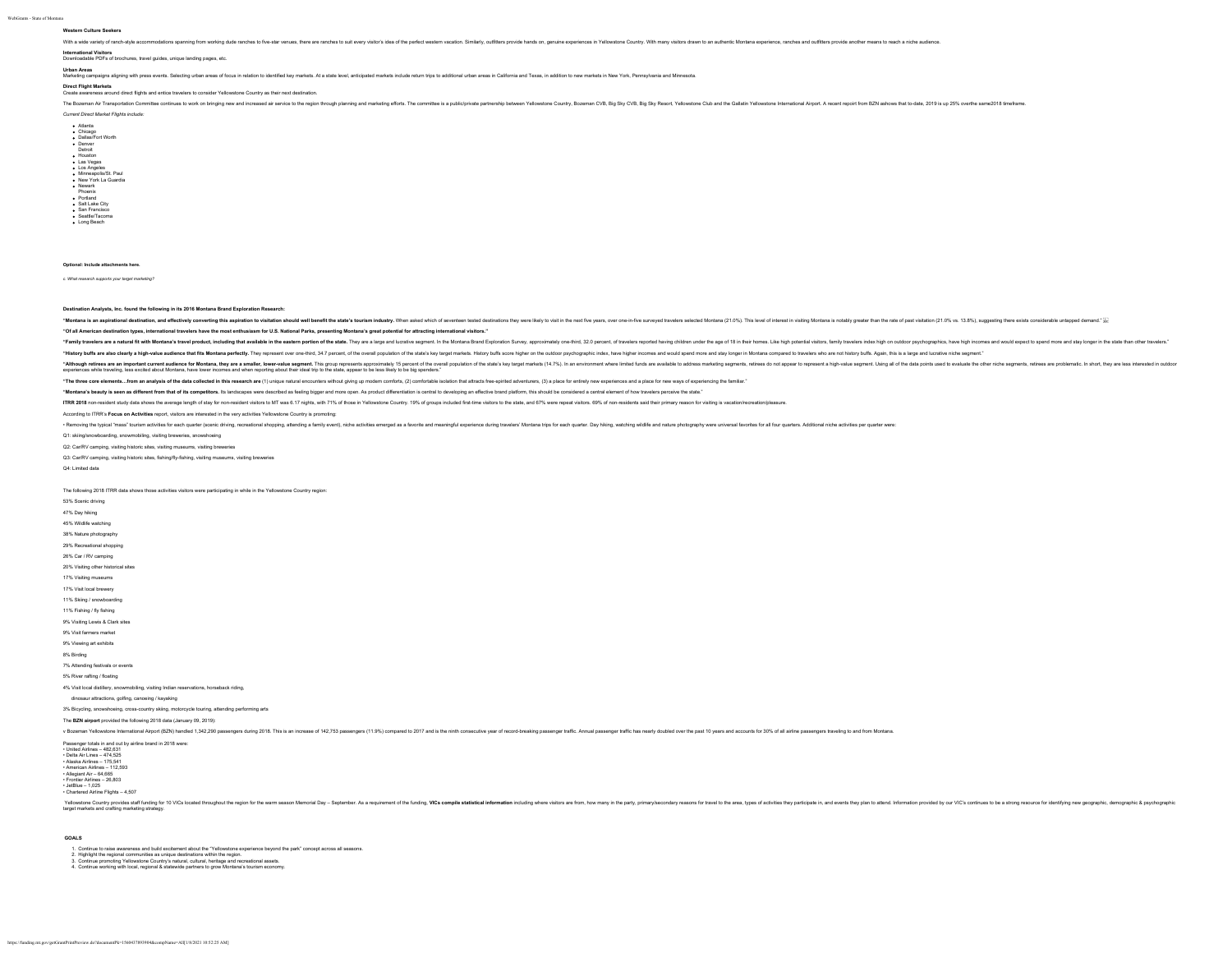# **Western Culture Seekers**

With a wide variety of ranch-style accommodations spanning form working dude ranches to five-star venues, there are ranches to suil every visitors is cald the perfect wester vacation. Similarly, cultilities provide hands o

## **International Visitors** Downloadable PDFs of brochures, travel guides, unique landing pages, etc.

Urban Areas<br>Marketing campaigns aligning with press events. Selecting urban areas of focus in relation to identified key markets. At a state level, anticipated markets include return trips to additional urban areas in Cali

## **Direct Flight Markets**

marxets<br>ness around direct flights and entice travelers to consider Yellowstone Country as their next destination

The Rozenan Air Transportation Committee continues to work on the indian member and are senico to the region the region the region and marketim efforts. The committee is a publication of the senic Microsoft Air and Committ

*Current Direct Market Flights include:* Atlanta<br>Chicago<br>Dallas/Fort Worth<br>Detroit<br>Houston<br>Los Vegas<br>Los Angeles<br>Minneapolis/St. Paul<br>Minneapolis/St. Paul<br>New York La Guardia<br>Phoenix<br>Phoenix<br>Salt Lake City San Francisco Seattle/Tacoma Long Beach

### **Optional: Include attachments here.**

*c. What research supports your target marketing?*

**Destination Analysts, Inc. found the following in its 2016 Montana Brand Exploration Research:**

"Montana is an aspirational destination, and effectively converting this aspiration to visitation should well benefit the state's tourism industry. When asked which of seventeen tested destinations they were likely to visi

**"Of all American destination types, international travelers have the most enthusiasm for U.S. National Parks, presenting Montana's great potential for attracting international visitors."**

"Family travelers are a natural fit with Montan's travel product, including that available in the eastern portion of the state. They are a large and lucally expendilucally expendiluc Experiment. In In Montana Brand Explora

"History buffs are also clearly a high-value audience that fits Montana perfectly. They represent over one-third, 34.7 percent, of the overall population of the state's key larget markets. History buffs score higher contex

"Althous are a an important current audented for Montan, they are a smaller, low-relate separath in group represents applicant of the state is logical property in the separate in the separate in the separate in the separat

"The three core elements...from an analysis of the data collected in this research are (1) unique natural encounters without giving up modem comforts, (2) comfortable isolation that attacts free-spirited adventurers, (3) a

"Montana's beauty is seen as different from that of its competitors. Its landscapes were described as feeling bigger and more open. As product differentiation is central to developing an effective brand platform, this shou

ITRR 2018 non-resident study data shows the average length of stay for non-resident visitors to MT was 6.17 nights, with 71% of those in Yellowstone County. 19% of groups included first-lime visitors to the state, and 67%

According to ITRR's **Focus on Activities** report, visitors are interested in the very activities Yellowstone Country is promoting:

- Removing the typical "mass" tourism activities for each quarter (scenic driving, recreational shopping, attending a family event), niche activities energed as a favorite and meaningful experience during travelers' Montan

Q1: skiing/snowboarding, snowmobiling, visiting breweries, snowshoeing Q2: Car/RV camping, visiting historic sites, visiting museums, visiting breweries

Q3: Car/RV camping, visiting historic sites, fishing/fly-fishing, visiting museums, visiting breweries

Q4: Limited data

The following 2018 ITRR data shows those activities visitors were participating in while in the Yellowstone Country region:

53% Scenic driving 47% Day hiking 45% Wildlife watching

38% Nature photography 29% Recreational shopping 26% Car / RV camping 20% Visiting other historical sites 17% Visiting museum 17% Visit local brewery 11% Skiing / snowboarding 11% Fishing / fly fishing 9% Visiting Lewis & Clark sites

9% Visit farmers market

9% Viewing art exhibits

### 8% Birding

7% Attending festivals or events

5% River rafting / floating

4% Visit local distillery, snowmobiling, visiting Indian reservations, horseback riding,

## dinosaur attractions, golfing, canoeing / kayaking

3% Bicycling, snowshoeing, cross-country skiing, motorcycle touring, attending performing arts

The **BZN airport** provided the following 2018 data (January 09, 2019):

## v Bozeman Yellowstone International Airport (BZN) handled 1,342,280 passengers during 2018. This is an increase of 142,753 passengers (11.9%) compared to 2017 and is the ninth consecutive year of record-breaking passenger

Passenger totals in and out by airline brand in 2018 were: • United Airlines – 482,631 • Delta Air Lines – 474,525 • Alaska Airlines – 175,541 • American Airlines – 112,593 • Allegiant Air – 64,665 • Frontier Airlines – 26,803 • JetBlue – 1,025 • Chartered Airline Flights – 4,507

Yelves suff under by Capital and thuman the state of the warehous one and the main of the state of the main of the state in the main of the state in the main of the state of the state of the state of the state of the state

## **GOALS**

1. Continue to raise awareness and build excitement about the "Yellowstone experience beyond the park" concept across all seasons.<br>2. Highlight the regional communities as unique destinations within the region.<br>4. Continu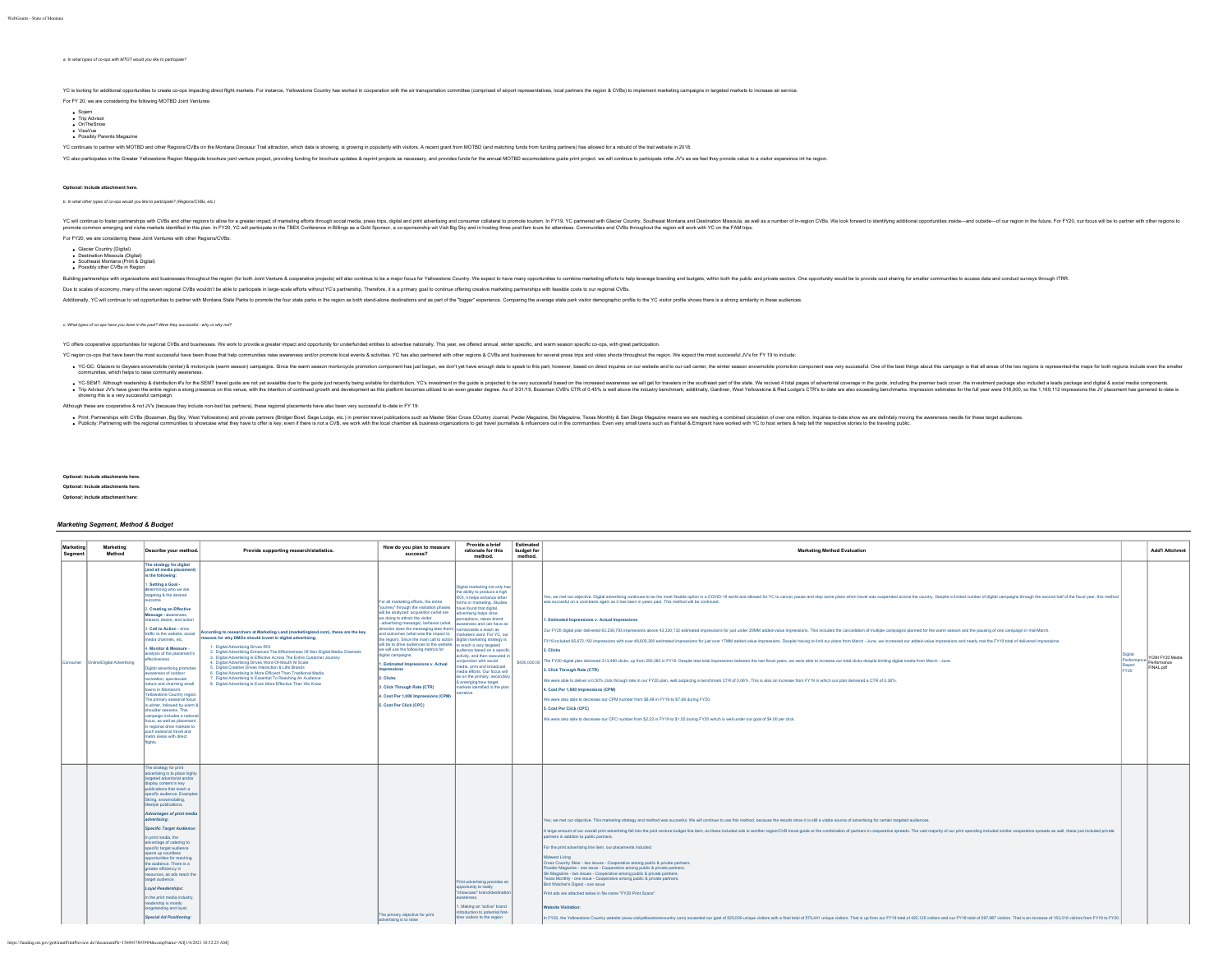## *a. In what types of co-ops with MTOT would you like to participate?*

YC is looking for additional opportunities to create co-ops impacting direct flight markets. For instance, Yellowstone Country has worked in cooperation with the air transportation committee (comprised of airport represent

For FY 20, we are considering the following MOTBD Joint Ventures:

Sojern Trip Advisor OnTheSnow VisaVue Possibly Parents Magazine

YC continues to partner with MOTBD and other Regions/CVBs on the Montana Dinosaur Trail attraction, which data is showling, is growing in popularity with visitors. A recent grant from MOTBD (and matching funds from funding

YC also participates in the Greater Yelowstone Region Mapguide tochure joint venture project, providing furding for tocchure updates & reprint projects as necessary, and provides funds for the annual MOTBD accomodations gu

## **Optional: Include attachment here.**

*b. In what other types of co-ops would you like to participate? (Regions/CVBs, etc.)*

YCwill comparts with the member of the member of the member in the standing entering the the member in the standing in the standing in the standing in the standing in the standing in the standing in the standing in the sta For FY20, we are considering these Joint Ventures with other Regions/CVBs:

Glacier Country (Digital) Destination Missoula (Digital) Southeast Montana (Print & Digital) Possibly other CVBs in Region

Building partnerships with organizations and businesses throughout the region (for both Joint Venture & cooperative projects) will also continue to be a major focus for Yellowstone County. We expect to have many opportunit

Due to scales of economy, many of the seven regional CVBs wouldn't be able to participate in large-scale efforts without YC's partnership. Therefore, it is a primary goal to continue offering creative marketing partnership

Additionally, YC will continue to vet opportunities to partner with Montana State Parks to promote the four state parks in the region as both stand-alone destinations and as part of the "bigger" experience. Comparing the a

### *c. What types of co-ops have you done in the past? Were they successful - why or why not?*

YC offers cooperative opportunities for regional CVBs and businesses. We work to provide a greater impact and opportunity for underfunded entities to advertise nationally. This year, we offered annual, winter specific, and

YC region co-ops that have been the most successful have been those that help communities raise awareness and/or promote local events & activities. YC has also partnered with other regions & CVBs and businesses for several

. YC-GC: Glaciers to Geypers snowmoble (winter) & motorcycle (warm season) campaigns. Since the warm season montorcycle promotion component has just begun, we don't yel have enough data to speak to this part, however, base communities, which helps to raise community awareness.

YC-SEMT-Altough redership & datribution #5 for the SEMT tave guide are not yet available to the guide but to make between the suite and to the suite of the suite of the suite of the suite of the suite of the suite of the s

Although these are cooperative & not JV's (because they include non-bed tax partners), these regional placements have also been very successful to-date in FY 19:

Print-Barbay in Cheman Bay is a substitute of the state of the state of the state of the present that the state of the state of the state of the state of the state of the state of the state of the state of the state of the

**Optional: Include attach Optional: Include attachments here.**

**Optional: Include attachment here:**

## *Marketing Segment, Method & Budget*

| Marketing<br>Seament | Marketing<br>Method                        | Describe your method.                                                                                                                                                                                                                                                                                                                                                                                                                                                                                                                                                                                                                                                                                                                                                                                                                                 | Provide supporting research/statistics.                                                                                                                                                                                                                                                                                                                                                                                                                                                                                                                                                                                                                            | How do you plan to measure<br>success?                                                                                                                                                                                                                                                                                                                                                                                                                                                                                                                                                                                                                                                                                                                                                      | Provide a brief<br>rationale for this<br>method.                                                                                                                                                                                                                                                                                                                                                                                                      | Estimated<br>budget for<br>method. | <b>Marketing Method Evaluation</b>                                                                                                                                                                                                                                                                                                                                                                                                                                                                                                                                                                                                                                                                                                                                                                                                                                                                                                                                                                                                                                                                                                                                                                                                                                                                                                                                                                                                                                                                                                                                                                                                             |                                         | <b>Add'l Attchmnt</b>                       |
|----------------------|--------------------------------------------|-------------------------------------------------------------------------------------------------------------------------------------------------------------------------------------------------------------------------------------------------------------------------------------------------------------------------------------------------------------------------------------------------------------------------------------------------------------------------------------------------------------------------------------------------------------------------------------------------------------------------------------------------------------------------------------------------------------------------------------------------------------------------------------------------------------------------------------------------------|--------------------------------------------------------------------------------------------------------------------------------------------------------------------------------------------------------------------------------------------------------------------------------------------------------------------------------------------------------------------------------------------------------------------------------------------------------------------------------------------------------------------------------------------------------------------------------------------------------------------------------------------------------------------|---------------------------------------------------------------------------------------------------------------------------------------------------------------------------------------------------------------------------------------------------------------------------------------------------------------------------------------------------------------------------------------------------------------------------------------------------------------------------------------------------------------------------------------------------------------------------------------------------------------------------------------------------------------------------------------------------------------------------------------------------------------------------------------------|-------------------------------------------------------------------------------------------------------------------------------------------------------------------------------------------------------------------------------------------------------------------------------------------------------------------------------------------------------------------------------------------------------------------------------------------------------|------------------------------------|------------------------------------------------------------------------------------------------------------------------------------------------------------------------------------------------------------------------------------------------------------------------------------------------------------------------------------------------------------------------------------------------------------------------------------------------------------------------------------------------------------------------------------------------------------------------------------------------------------------------------------------------------------------------------------------------------------------------------------------------------------------------------------------------------------------------------------------------------------------------------------------------------------------------------------------------------------------------------------------------------------------------------------------------------------------------------------------------------------------------------------------------------------------------------------------------------------------------------------------------------------------------------------------------------------------------------------------------------------------------------------------------------------------------------------------------------------------------------------------------------------------------------------------------------------------------------------------------------------------------------------------------|-----------------------------------------|---------------------------------------------|
|                      | Consumer <b>Online/Digital Advertising</b> | The strategy for digital<br>(and all media placement)<br>is the following:<br>. Setting a Goal -<br>termining who we are<br>argeting & the desired<br>sitcome<br>2. Creating an Effective<br>Message - awareness,<br>nterest, desire, and action<br>3. Call to Action - drive<br>traffic to the website, social<br>media channels, etc.<br>4. Monitor & Measure -<br>analysis of the placement's<br>ffectiveness<br>Digital advertising promote<br>awareness of outdoor<br>ecreation, spectacular<br>ature and charming small<br>owns in Montana's<br><b>Yellowstone Country region</b><br>The primary seasonal focus<br>is winter, followed by warm 8<br>shoulder seasons. This<br>campaign includes a national<br>focus, as well as placement<br>n regional drive markets to<br>push seasonal travel and<br>metro areas with direct<br><b>Inhts</b> | According to researchers at Marketing Land (marketingland.com), these are the key<br>reasons for why DMOs should invest in digital advertising:<br>1. Digital Advertising Drives ROI<br>2. Digital Advertising Enhances The Effectiveness Of Non-Digital Media Channels<br>3. Digital Advertising Is Effective Across The Entire Customer Journey<br>4. Digital Advertising Drives Word-Of-Mouth At Scale<br>5. Digital Creative Drives Interaction & Lifts Brands<br>6. Digital Advertising Is More Efficient Than Traditional Media<br>7. Digital Advertising Is Essential To Reaching An Audience<br>8. Digital Advertising Is Even More Effective Than We Know | For all marketing efforts, the entire<br>Tourney" through the visitation phases  have found that digital<br>will be analyzed: acquisition (what are<br>we doing to attract the visitor<br>advertising message), behavior (what awareness and can have as<br>direction does the messaging take them) narrowlwide a reach as<br>and outcomes (what was the impact to   marketers want. For YC, our<br>the region). Since the main call to action digital marketing strategy is<br>will be to drive audiences to the website. to reach a very targeted<br>we will use the following metrics for<br>digital campaigns:<br>. Estimated Impressions v. Actual<br><b>Impressions</b><br>2. Clicks<br>3. Click Through Rate (CTR)<br>4. Cost Per 1,000 Impressions (CPM)<br>5. Cost Per Click (CPC) | Digital marketing not only has<br>the ability to produce a high<br>ROI, it helps enhance other<br>forms or marketing. Studies<br>advertising helps drive<br>erceptions, raises brand<br>audience based on a specific<br>ctivity, and then executed in<br>niunction with social<br>nedia, print and broadcast<br>nedia efforts. Our focus will<br>be on the primary, secondary<br>& emerging/new target<br>narkets identified in the plan<br>arrative. |                                    | Yes, we met our objective. Digital advertising continues to be the most flexible option in a COVID-19 world and allowed for YC to cancel, pause and stop some plans when travel was suspended across the county. Despite a lim<br>was succesful on a cost-basis again as it has been in years past. This method will be continued.<br>. Estimated Impressions v. Actual Impressions<br>Our FY20 digital plan delivered 63,236,793 impressions above 43,330,132 estimated impressions for just under 20MM added-value impressions. This included the cancellation of multiple campaigns planned for the warm season an<br>FY19 included 65,672,192 impressions with over 48,605,300 estimated impressions for just over 17MM added-value impressions. Despite having to limit our plans from March - June, we increased our added-value impressions and<br>2. Clicks<br>\$430,000.00 The FY20 digital plan delivered 313,490 clicks, up from 250,383 in FY19. Despite less total impressions between the two fiscal years, we were able to increase our total clicks despite limiting digital media fro<br>3. Click Through Rate (CTR)<br>We were able to deliver a 0.50% click through rate in our FY20 plan, well outpacing a benchmark CTR of 0.06%, This is also an increase from FY19 in which our plan delivered a CTR of 0.38%.<br>4. Cost Per 1,000 Impressions (CPM)<br>We were also able to decrease our CPM number from \$8.48 in FY19 to \$7.68 during FY20.<br>5. Cost Per Click (CPC)<br>We were also able to decrease our CPC number from \$2.22 in FY19 to \$1.55 during FY20 which is well under our goal of \$4.00 per click. | Digital<br>Performanc<br>Report<br>FY20 | YCMI FY20 Media<br>Performance<br>FINAL pdf |
|                      |                                            | The strategy for print<br>advertising is to place highly<br>targeted advertorial and/or<br>lisplay content in key<br>sublications that reach a<br>specific audience. Examples<br>Sking, snowmobiling.<br>festyle publications.<br>Advantages of print media<br>advertising:<br>Specific Target Audience:<br>n print media, the<br>advantage of catering to<br>specific target audience<br>opens up countless<br>opportunities for reaching<br>the audience. There is a<br>greater efficiency in<br>resources, as ads reach the<br>target audience.<br>Loyal Readerships:<br>In the print media industry<br>readership is mostly<br>longstanding and loyal.<br>Special Ad Positioning:                                                                                                                                                                 |                                                                                                                                                                                                                                                                                                                                                                                                                                                                                                                                                                                                                                                                    | The primary objective for print<br>advertising is to raise                                                                                                                                                                                                                                                                                                                                                                                                                                                                                                                                                                                                                                                                                                                                  | Print advertising provides an<br>opportunity to really<br>"showcase" brand/destination<br>awareness.<br>Making an "active" brand<br>troduction to potential first-<br>ime visitors to the region                                                                                                                                                                                                                                                      |                                    | Yes, we met our objective. This marketing strategy and method was succesful. We will continue to use this method, because the results show it is still a viable source of advertising for certain targeted audiences.<br>A large amount of our overall print advertising fell into the joint venture budget line item, as these included ads in another region/CVB travel guide or the combination of partners in cooperative spreads. The vast majorit<br>partners in addition to public partners.<br>For the print advertising line item, our placements included:<br>Midwest Living<br>Cross Country Skier - two issues - Cooperative among public & private partners.<br>Powder Magazine - one issue - Cooperative among public & private partners.<br>Ski Magazine - two issues - Cooperative among public & private partners.<br>Texas Monthly - one issue - Cooperative among public & private partners.<br>Bird Watcher's Digest - one issue<br>Print ads are attached below in file name "FY20 Print Scans".<br><b>Website Visitation:</b><br>In FY20, the Yellowstone Country website (www.visityellowstonecountry.com) exceeded our goal of 525,000 unique visitors with a final total of 575,441 unique visitors. That is up from our FY19 total of 422,125 visitors and                                                                                                                                                                                                                                                                                                                                                           |                                         |                                             |

https://funding.mt.gov/getGrantPrintPreview.do?documentPk=1560437893904&compName=All[1/8/2021 10:52:25 AM]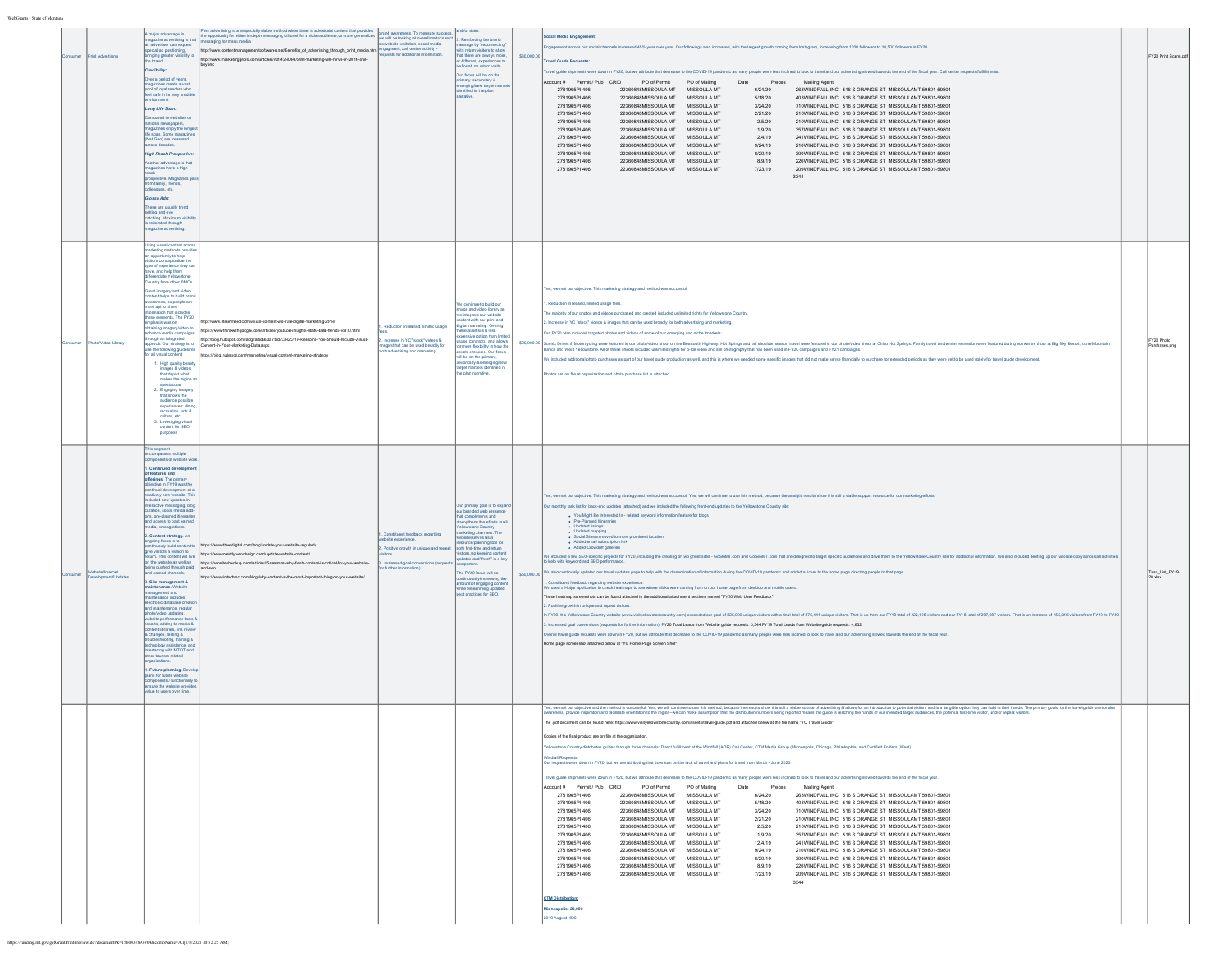| int Advertis     | major advantage in<br>magazine advertising is that<br>an advertiser can request<br>special ad positioning,<br>pringing greater visibility to<br>the brand.<br>Credibility:<br>Over a period of years,<br>ines create a vast<br>pool of loyal readers who<br>feel safe in its very credibl<br>Long Life Span:<br>compared to websites or<br>national newspapers,<br>magazines enjoy the longe<br>(Nat Geo) are treasured<br>ross decades.<br><b>High Reach Prospective</b><br>nother advantage is that<br>gazines have a high<br>ospective. Magazines p<br>from family, friends,<br>olleagues, etc.<br>Glossy Ads:<br>These are usually trend<br>setting and eye<br>catching. Maximum visibili<br>is reiterated through<br>lagazine advertising.<br><b>Jsing visual content acros</b>                                                                                                                                                                                                                                                                                                 | Print advertising is an especially viable method when there is advertistial content that provides<br>The opportunity for either in-depth messaging tallored for a riche audience, or more generalized and wareness. To measure su<br>http://www.contentmanagementsoftwares.net/Benefits_of_advertising_through_print_media.htm engagment, call center activity -<br>ttp://www.marketingprofs.com/articles/2014/24084/print-marketing-will-thrive-in-2014-and-<br>beyond | as website visitation, social media<br>ests for additional information.                                                                                  | sage by <sup>s</sup> rec<br>with return visitors to show<br>that there are always more<br>or different, experiences to<br>found on return visit<br>Our focus will be on the<br>primary, secondary &<br>emerging hew target mander<br>rrative.                                                                                                                                                                                                                               | \$30,000.00   | <b>Social Media Engagement</b><br>gagement across our social channels increased 45% year over year. Our followings also increased, with the largest growth coming from Instagram, increasing from 1200 followers to 10,500 followers in FY20.<br>svel Guide Requests<br>ravel guide shipments were down in FY20, but we attribute that decrease to the COVID-19 pandemic as many people were less inclined to look to travel and our advertising slowed towards the end of the fiscal year. Call cente<br>Account # Permit / Pub CRID PO of Permit PO of Mailing<br>Date Pieces Mailing Agent<br>2781965PI 406<br>22360848MISSOULA MT MISSOULA MT<br>6/24/20<br>263WINDFALL INC. 516 S ORANGE ST MISSOULAMT 59801-59801<br>408WINDFALL INC. 516 S ORANGE ST MISSOULAMT 59801-59801<br>2781965PI 406<br>22360848MISSOULA MT MISSOULA MT<br>5/18/20<br>2781965PI 406<br>22360848MISSOULA MT<br>MISSOULA MT<br>3/24/20<br>710WINDFALL INC. 516 S ORANGE ST MISSOULAMT 59801-59801<br>2781965PI 406<br>22360848MISSOULA MT MISSOULA MT<br>210WINDFALL INC. 516 S ORANGE ST MISSOULAMT 59801-59801<br>2/21/20<br>2781965PI 406<br>22360848MISSOULA MT MISSOULA MT<br>2/5/20<br>210WINDFALL INC. 516 S ORANGE ST MISSOULAMT 59801-59801<br>2781965PI 406<br>22360848MISSOULA MT<br>MISSOULA MT<br>1/9/20<br>357WINDFALL INC. 516 S ORANGE ST MISSOULAMT 59801-59801<br>22360848MISSOULA MT MISSOULA MT<br>12/4/19<br>241WINDFALL INC. 516 S ORANGE ST MISSOULAMT 59801-59801<br>2781965PI 406<br>2781965PI 406<br>22360848MISSOULA MT MISSOULA MT<br>210WINDFALL INC. 516 S ORANGE ST MISSOULAMT 59801-59801<br>9/24/19<br>2781965PI 406<br>22360848MISSOULA MT<br>MISSOULA MT<br>8/20/19<br>300WINDFALL INC. 516 S ORANGE ST MISSOULAMT 59801-59801<br>2781965PI 406<br>22360848MISSOULA MT MISSOULA MT<br>8/9/19<br>226WINDFALL INC. 516 S ORANGE ST MISSOULAMT 59801-59801<br>2781965PI 406<br>22360848MISSOULA MT MISSOULA MT<br>209WINDFALL INC. 516 S ORANGE ST MISSOULAMT 59801-59801<br>7/23/19<br>3344                                                                                                                                                                                                                                                                                                                                                                                                                                                                                                                                                                                                   | FY20 Print Scans.pdf    |  |
|------------------|--------------------------------------------------------------------------------------------------------------------------------------------------------------------------------------------------------------------------------------------------------------------------------------------------------------------------------------------------------------------------------------------------------------------------------------------------------------------------------------------------------------------------------------------------------------------------------------------------------------------------------------------------------------------------------------------------------------------------------------------------------------------------------------------------------------------------------------------------------------------------------------------------------------------------------------------------------------------------------------------------------------------------------------------------------------------------------------|-------------------------------------------------------------------------------------------------------------------------------------------------------------------------------------------------------------------------------------------------------------------------------------------------------------------------------------------------------------------------------------------------------------------------------------------------------------------------|----------------------------------------------------------------------------------------------------------------------------------------------------------|-----------------------------------------------------------------------------------------------------------------------------------------------------------------------------------------------------------------------------------------------------------------------------------------------------------------------------------------------------------------------------------------------------------------------------------------------------------------------------|---------------|-------------------------------------------------------------------------------------------------------------------------------------------------------------------------------------------------------------------------------------------------------------------------------------------------------------------------------------------------------------------------------------------------------------------------------------------------------------------------------------------------------------------------------------------------------------------------------------------------------------------------------------------------------------------------------------------------------------------------------------------------------------------------------------------------------------------------------------------------------------------------------------------------------------------------------------------------------------------------------------------------------------------------------------------------------------------------------------------------------------------------------------------------------------------------------------------------------------------------------------------------------------------------------------------------------------------------------------------------------------------------------------------------------------------------------------------------------------------------------------------------------------------------------------------------------------------------------------------------------------------------------------------------------------------------------------------------------------------------------------------------------------------------------------------------------------------------------------------------------------------------------------------------------------------------------------------------------------------------------------------------------------------------------------------------------------------------------------------------------------------------------------------------------------------------------------------------------------------------------------------------------------------------------------------------------------------------------------------------------------------------------------------------------------------------------------------------------------------------------------------------------------------------------------------------------------------------------------------------------------|-------------------------|--|
| to/Video Library | narketing methods prov<br>an opportuntly to help<br>sitors conceptualize the<br>type of experience they ca<br>.<br>Ive, and help them<br>Country from other DMOs.<br><b>Breat imagery and video</b><br>ontent helps to build bran<br>awareness, as people are<br>more apt to share<br>formation that includes<br>these elements. The FY20<br>hasis was on<br>taining imagery/video to<br>hance media campaigns<br>rough an integrated<br>proch. Our strategy is to<br>se the following guidelines<br>or all visual content:<br>1. High quality beauty<br>nages & videos<br>that depict what<br>makes the region s<br>spectacular<br>2. Engaging imagery<br>that shows the<br>audience possible<br>experiences: dinin<br>recreation, arts &<br>culture, etc.<br>3. Leveraging visual<br>content for SEO                                                                                                                                                                                                                                                                               | http://www.steamfeed.com/visual-content-will-rule-digital-marketing-2014/<br>https://www.thinkwithgoogle.com/articles/youtube-insights-stats-data-trends-vol10.html<br>http://blog.hubspot.com/blog/tabid/6307/bid/33423/19-Reasons-You-Should-Include-Visual-<br>Content-in-Your-Marketing-Data.aspx<br>tps://blog.hubspot.com/marketing/visual-content-marketing-strategy                                                                                             | Reduction in leased, limited usage<br>Increase in YC "stock" videos &<br>nages that can be used broadly for<br>th advertising and marketing.             | e continue to build our<br>mage and video library as<br>we integrate our website<br>content with our print and<br>digital marketing. Owning<br>ese assets is a less<br>ensive option than lim<br>.<br>age contracts, and allows<br>r more flexibility in how the<br>assets are used. Our focus<br>will be on the primary.<br>secondary & emerging her<br>target markets identified in<br>the plan narrative.                                                                | \$20,000.00 } | es, we met our objective. This marketing strategy and method was succesful<br>Reduction in leased, limited usage fees.<br>he majority of our photos and videos purchased and created included unlimited rights for Yellowstone Country.<br>Increase in YC "stock" videos & images that can be used broadly for both advertising and marketing.<br>Our FY20 plan included targeted photos and videos of some of our emerging and niche tmarkets:<br>enic Drives & Motorcycling were featured in our photo/video shoot on the Beartooth Highway. Hot Springs and fall shoulder season travel were featured in our photo/video shoot at Chico Hot Springs. Family travel and winter<br>Ranch and West Yellowstone. All of these shoots included unlimited rights for b-roll video and still photography that has been used in FY20 campaigns and FY21 campaigns.<br>Ve included additional photo purchases as part of our travel guide production as well, and this is where we needed some specific images that did not make sense financially to purchase for extended periods as they were set<br>otos are on file at organization and photo purchase list is attached                                                                                                                                                                                                                                                                                                                                                                                                                                                                                                                                                                                                                                                                                                                                                                                                                                                                                                                                                                                                                                                                                                                                                                                                                                                                                                                                                                                                                                      | FY20 Photo<br>chases.pn |  |
| ite/Interne      | This segment<br>mponents of website wo<br>I. Continued developme<br>of features and<br>fferings. The primary<br>bjective in FY19 was the<br>ntinual development of a<br>elatively new website. Thi<br>uded new updates in<br>eractive messaging, blo<br>uration, social media add<br>ns, pre-planned itinerarie<br>d access to past earned<br>nedia, among others<br>2. Content strategy. An<br>of at auoof gnlopne<br>ouly build content to<br>give visitors a reason to<br>um. This content will live<br>on the website as well as<br>bing pushed through paid<br>d earned channels.<br>Site management &<br>naintenance. Website<br>management and<br>tenance includes<br>tronic database c<br>nd maintenance, regular<br>toto/video updating,<br>ebsite performance tools<br>irts, adding to media &<br>tent libraries, link revie<br>& changes, testing &<br>nology assist<br>ince, ar<br>terfacing with MTOT and<br>ther tourism related<br>Future planning Deve<br>ns for future website<br>mponents / functionality t<br>nsure the website provide<br>lue to users over time | https://www.theedigital.com/blog/update-your-website-regularly<br>https://www.nextflywebdesign.com/update-website-content/<br>https://seositecheckup.com/articles/5-reasons-why-fresh-content-is-critical-for-your-website-<br>and-seo<br>ttps://www.intechnic.com/blog/why-content-is-the-most-important-thing-on-your-website                                                                                                                                         | Constituent feedback regarding<br>site experience.<br>. Positive growth in unique and repeat<br>ncreased goal conversions (requ<br>further information). | Our primary goal is to expan<br>our branded web pre<br>that compliments and<br>strengthens the efforts in all<br><b>Howstone Country</b><br>narketing channels. The<br>bsite serves as a<br>ce/planning tool t<br>both first-time and return<br>itors, so ke<br>sitors, so keeping content<br>pdated and 'fresh'' is a key<br>component.<br>he FY20 focus will be<br>tinuously increasing the<br>amount of engaging o<br>while researching updat<br>best practices for SEO. | \$50,000.00   | Yes, we met our objective. This marketing strategy and method was succesful. Yes, we will continue to use this method, because the analytic results show it is still a viable support resource for our marketing efforts<br>Our monthly task list for back-end updates (attached) and we included the following front-end updates to the Yellowstone Country site:<br>. You Might Be Interested In - related keyword information feature for blogs<br>$\begin{array}{ll} \bullet & \mathsf{Pre}\text{-Planned linearness} \\ \bullet & \mathsf{Update} \text{ listing} \end{array}$<br>· Updated mapping<br>. Social Stream moved to more prominent location<br>- Added email subscription link<br>- Added Crowdriff galleries<br>included a few SEO-specific projects for FY20, including the creating of two ghost sites - GoSkMT.com and GoSeeMT.com that are designed to target specific audiences and drive them to the Yellowstone Country site for additi<br>help with keyword and SEO performance.<br>also continually updated our travel updates page to help with the dissemination of information during the COVID-19 pandemic and added a ticker to the home page directing people to that page.<br>Constituent feedback regarding website experience<br>We used a Hotjar application to check heatmaps to see where clicks were coming from on our home page from desktop and mobile users.<br>Those heatmap screenshots can be found attached in the additional attachment sections named "FY20 Web User Feedback"<br>Positive growth in unique and repeat visitors.<br>FY20, the Yellowstone Country website (www.visityellowstonecountry.com) exceeded our goal of 525,000 unique visitors with a final total of 575,441 unique visitors. That is up from our FY19 total of 422,125 visitors and our<br>Increased goal conversions (requests for further information). FY20 Total Leads from Website guide requests: 3,344 FY19 Total Leads from Website guide requests: 4,632<br>Overall travel guide requests were down in FY20, but we attribute that decrease to the COVID-19 pandemic as many people were less inclined to look to travel and our advertising slowed towards the end of the fiscal year.<br>Home page screenshot attached below at "YC Home Page Screen Shot"                                                                                                                                                                                                                                                                                                          | Task_List_FY19-         |  |
|                  |                                                                                                                                                                                                                                                                                                                                                                                                                                                                                                                                                                                                                                                                                                                                                                                                                                                                                                                                                                                                                                                                                      |                                                                                                                                                                                                                                                                                                                                                                                                                                                                         |                                                                                                                                                          |                                                                                                                                                                                                                                                                                                                                                                                                                                                                             |               | .<br>Ke, wand constructed and and succedul Ye, wall construct by a material and a material considerable in the state of the distriction and constructed in positive and incomplete and incomplete and incomplete and incomplete a<br>The .pdf document can be found here: https://www.visityellowstonecountry.com/assets/travel-guide.pdf and attached below at the file name "YC Travel Guide"<br>Copies of the final product are on file at the organization.<br>llowstone Country distributes guides through three channels: Direct fulfilment at the Windfall (AOR) Call Center, CTM Media Group (Minneapolis, Chicago, Philadelphia) and Certified Folders (West).<br>Our requests were down in FY20, but we are attributing that downturn on the lack of travel and plans for travel from March - June 2020.<br>ravel guide shipments were down in FY20, but we attribute that decrease to the COVID-19 pandemic as many people were less inclined to look to travel and our advertising slowed towards the end of the fiscal year.<br>Account # Permit / Pub CRID   PO of Permit   PO of Mailing   Date   Pieces   Mailing Agent<br>6/24/20 263WINDFALL INC. 516 S ORANGE ST MISSOULAMT 59801-59801<br>22360848MISSOULA MT MISSOULA MT<br>2781965PI 406<br>2781965PI 406<br>22360848MISSOULA MT MISSOULA MT<br>5/18/20<br>408WINDFALL INC. 516 S ORANGE ST MISSOULAMT 59801-59801<br>710WINDFALL INC. 516 S ORANGE ST MISSOULAMT 59801-59801<br>2781965PI 406<br>22360848MISSOULA MT MISSOULA MT<br>3/24/20<br>2781965PI 406<br>22360848MISSOULA MT MISSOULA MT<br>2/21/20<br>210WINDEALL INC. 516 S ORANGE ST. MISSOULAMT 59801-59801.<br>2781965PI 406<br>22360848MISSOULA MT MISSOULA MT<br>2/5/20<br>210WINDFALL INC. 516 S ORANGE ST MISSOULAMT 59801-59801<br>1/9/20<br>2781965PI 406<br>22360848MISSOULA MT MISSOULA MT<br>357WINDFALL INC. 516 S ORANGE ST MISSOULAMT 59801-59801<br>2781965PI 406<br>22360848MISSOULA MT MISSOULA MT<br>12/4/19<br>241WINDFALL INC. 516 S ORANGE ST MISSOULAMT 59801-59801<br>22360848MISSOULA MT MISSOULA MT<br>210WINDFALL INC. 516 S ORANGE ST MISSOULAMT 59801-59801<br>2781965PI 406<br>9/24/19<br>2781965PI 406<br>22360848MISSOULA MT MISSOULA MT<br>8/20/19<br>300WINDFALL INC. 516 S ORANGE ST MISSOULAMT 59801-59801<br>2781965PI 406<br>22360848MISSOULA MT MISSOULA MT<br>8/9/19<br>226WINDFALL INC. 516 S ORANGE ST MISSOULAMT 59801-59801<br>22360848MISSOULA MT MISSOULA MT<br>2781965PI 406<br>7/23/19<br>209WINDFALL INC. 516 S ORANGE ST MISSOULAMT 59801-59801<br>3344<br><b>CTM Distribution:</b><br>eapolis: 20,000<br>019 August -800 |                         |  |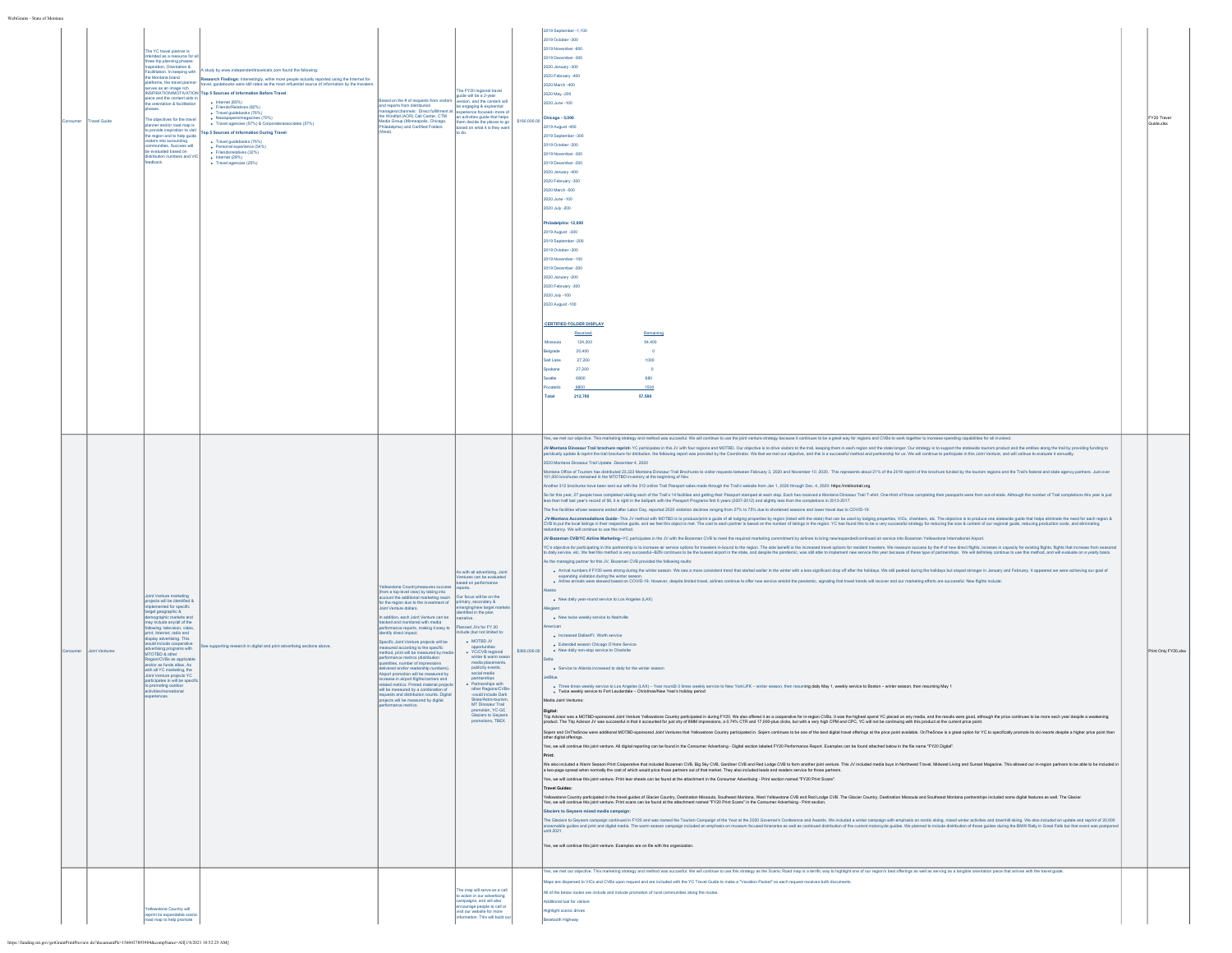| sumer | ravel Guide   | he YC travel planner is<br>ed as a resource for<br>hree trip planning phases<br>nspiration, Orientation &<br>Facilitation. In keeping with<br>the Montana brand<br>ves as an image rich<br>$\mathsf{rce}$ and the content aids in<br>the oreintation & facilitation<br>le objectives for the trave<br>nner and/or road map is<br>provide inspiration to visi<br>egion and to help guide<br>sitors into surounding<br>mmunities. Success will<br>be evaluated based on<br>ribution numbers and VI<br>Iback.                        | study by www.independenttravelcats.com found the following:<br>Research Findings: Interestingly, while more people actually reported using the Internet for<br>atforms, the travel planner travel, guidebooks were still rated as the most influential source of information by the tra<br>SPIRATIONMOTIVATION Top 5 Sources of Information Before Travel:<br>$\bullet$ Internet (85%)<br>Friends/Relatives (82%)<br>Friends/Relatives (82%)<br>· Newspapers/magazines (70%)<br>· Travel agencies (57%) & Corporate/associates (57%)<br>Ton 5 Sources of Information During Travel:<br>· Travel guidebooks (76%)<br>$\bullet$ Personal experience (54%)<br>Friends/relatives (32%)<br>$\bullet$ Internet (28%)<br>+ Travel agencies (25%) | Based on the # of requests from visitor<br>nd reports from distribution<br>managers/channels: Direct fulfillment at<br>the Windfall (AOR) Call Center, CTM<br>Media Group (Minneapolis, Chicago,<br>Philadelphia) and Certified Folders                                                                                                                                                                                                                                                                                                                                                                                                                                                                                                                                                                                                                                                             | The FY20 regional travel<br>uide will be a 2-year<br>ersion, and the content w<br>be engaging & expirential<br>sedmore o<br>an activities guide that helps<br>them decide the places to go<br>based on what it is they war                                                                                                                                                                                                                                                          |              | 2019 September -1,100<br>2019 October -300<br>2019 November -600<br>2019 December -300<br>2020 January -300<br>2020 February -400<br>2020 March -400<br>2020 May -200<br>020 June -100<br>$$160,000.00$ Chicago - 5,000<br>019 August -400<br>019 September -300<br>019 October -200<br>019 November -300<br>2019 December -200<br>2020 January -400<br>2020 February -300<br>2020 March -500<br>2020 June -100<br>2020 July -200<br>hiladelphia: 12,000<br>2019 August -300<br>2019 September - 20<br>2019 October -300<br>2019 November - 100<br>2019 December -200<br>2020 January -200<br>2020 February -300<br>2020 July -100<br>2020 August -100<br><b>CERTIFIED FOLDER DISPLAY</b><br>Received<br>Remaining<br>124,300<br>54,400<br>Missoula<br>elgrade<br>20,400<br>$\overline{0}$<br>Salt Lake<br>27,200<br>1000<br>Spokane<br>27,200<br>$\circ$<br>eattle<br>6800<br>680<br>catello<br>5800<br>1500<br>Total<br>212,700<br>57,580<br>Yes, we met our objective. This marketing strategy and method was succesful. We will continue to use the joint venture strategy because it continues to be a great way for regions and CVBs to work together to increase spend                                                                                                                                                                                                                                                                                                                                                                                                                                                                                                                                                                                                                                                                                                                                                                                                                                                                                                                                                                                                                                                                                                                                                                                                                                                                                                                                                                                                                                                                                                                                                                                                                                                                                                                                                                                                                                                                                                                                                                                                                                                                                                                                                                                                                                                                                                                                                                                                                                                                                                                                                                                                                                                                                                                                                                                                                                                                                                                                                                                                                                                                                                                                                                                                                                                                                                                                                                                                                                                                                                                                                                                                                                                                                                                                                                                                                                                                                                                                                                                                                                                                                                                                                                                                                                                                                                                                                                                                                                                                                                                                                                                                                                                                                                                                                                                                                                                                                                                                                                                                                                                                                                                                                                                                                           | FY20 Travel<br>Guide.xlsx |
|-------|---------------|-----------------------------------------------------------------------------------------------------------------------------------------------------------------------------------------------------------------------------------------------------------------------------------------------------------------------------------------------------------------------------------------------------------------------------------------------------------------------------------------------------------------------------------|-------------------------------------------------------------------------------------------------------------------------------------------------------------------------------------------------------------------------------------------------------------------------------------------------------------------------------------------------------------------------------------------------------------------------------------------------------------------------------------------------------------------------------------------------------------------------------------------------------------------------------------------------------------------------------------------------------------------------------------------|-----------------------------------------------------------------------------------------------------------------------------------------------------------------------------------------------------------------------------------------------------------------------------------------------------------------------------------------------------------------------------------------------------------------------------------------------------------------------------------------------------------------------------------------------------------------------------------------------------------------------------------------------------------------------------------------------------------------------------------------------------------------------------------------------------------------------------------------------------------------------------------------------------|-------------------------------------------------------------------------------------------------------------------------------------------------------------------------------------------------------------------------------------------------------------------------------------------------------------------------------------------------------------------------------------------------------------------------------------------------------------------------------------|--------------|---------------------------------------------------------------------------------------------------------------------------------------------------------------------------------------------------------------------------------------------------------------------------------------------------------------------------------------------------------------------------------------------------------------------------------------------------------------------------------------------------------------------------------------------------------------------------------------------------------------------------------------------------------------------------------------------------------------------------------------------------------------------------------------------------------------------------------------------------------------------------------------------------------------------------------------------------------------------------------------------------------------------------------------------------------------------------------------------------------------------------------------------------------------------------------------------------------------------------------------------------------------------------------------------------------------------------------------------------------------------------------------------------------------------------------------------------------------------------------------------------------------------------------------------------------------------------------------------------------------------------------------------------------------------------------------------------------------------------------------------------------------------------------------------------------------------------------------------------------------------------------------------------------------------------------------------------------------------------------------------------------------------------------------------------------------------------------------------------------------------------------------------------------------------------------------------------------------------------------------------------------------------------------------------------------------------------------------------------------------------------------------------------------------------------------------------------------------------------------------------------------------------------------------------------------------------------------------------------------------------------------------------------------------------------------------------------------------------------------------------------------------------------------------------------------------------------------------------------------------------------------------------------------------------------------------------------------------------------------------------------------------------------------------------------------------------------------------------------------------------------------------------------------------------------------------------------------------------------------------------------------------------------------------------------------------------------------------------------------------------------------------------------------------------------------------------------------------------------------------------------------------------------------------------------------------------------------------------------------------------------------------------------------------------------------------------------------------------------------------------------------------------------------------------------------------------------------------------------------------------------------------------------------------------------------------------------------------------------------------------------------------------------------------------------------------------------------------------------------------------------------------------------------------------------------------------------------------------------------------------------------------------------------------------------------------------------------------------------------------------------------------------------------------------------------------------------------------------------------------------------------------------------------------------------------------------------------------------------------------------------------------------------------------------------------------------------------------------------------------------------------------------------------------------------------------------------------------------------------------------------------------------------------------------------------------------------------------------------------------------------------------------------------------------------------------------------------------------------------------------------------------------------------------------------------------------------------------------------------------------------------------------------------------------------------------------------------------------------------------------------------------------------------------------------------------------------------------------------------------------------------------------------------------------------------------------------------------------------------------------------------------------------------------------------------------------------------------------------------------------------------------------------------------------------------------------------------------------------------------------------------------------------------------------------------------------------------------------------------------------------------------------------------------------------------------------------------------------------------------------------------------------------------------------------------------------------------------------------------------------------------------------------------------------------------------------------------------------------------------------------------------------------------|---------------------------|
|       | oint Ventures | <b>Joint Venture marketing</b><br>projects will be identified &<br>ented for specific<br>target geographic &<br>graphic markets and<br>nay include anylall of the<br>print, Internet, radio and<br>display advertising. This<br>suld include cooperative<br>advertising programs with<br>MTOTBD & other<br>Zeolor form<br>ion/CVBs as applicable<br>d/or as funds allow. As<br>with all YC marketing, the<br>Joint Venture projects YC<br>irticipates in will be speci<br>promoting outdoor<br>clivities/recreational<br>riences. | ee supporting research in digital and print advertising sections above.                                                                                                                                                                                                                                                                                                                                                                                                                                                                                                                                                                                                                                                                   | wstone Countrymeasures succes<br>(from a top-level view) by taking into<br>account the additional marketing reach Our focus will be on the<br>for the region due to the investment of primary, secondary &<br>Joint Venture dollars.<br>addition, each Joint Venture can be<br>racked and monitored with media<br>performance reports, making it easy to<br>identify direct impact.<br>Specific Joint Venture projects will be<br>ured according to the specific<br>method, print will be measured by media<br>performance metrics (distribution<br>quantities, number of impressions<br>felivered and/or readership numbers<br>Almort promotion will be measured by<br>rease in airport flights/carriers and<br>ated metrics. Printed material projects<br>will be measured by a combination of<br>equests and distribution counts. Digital<br>jects will be measured by digital<br>mance metrics. | As with all advertising, Join<br>ntures can be evaluated<br>ased on performance<br>rerging/new target ma<br>intified in the plan<br>narrative.<br>anned JVs for FY 20<br>+ MOTBD JV<br>· YC/CVB regional<br>winter & warm sea<br>media placements<br>publicity events,<br>social media<br>partnerships<br>· Partnerships with<br>other Regions/CV<br>-could include Dark<br>Skies/Astro-tourist<br>MT Dinosaur Trail<br>promotion, YC-GC<br>Glaciers to Geysers<br>promotions, TBEX | \$350,000.00 | JV-Montana Dinosaur Trail brochure reprint- YC participates in this JV with four regions and MOTBD. Our objective is to chive visitors to the trail, keeping them in each region and the state longer. Our strategy is to supp<br>eridically update & reprint the trail brochure for ditribution. the following report was provided by the Coordinator. We feel we met our objective, and this is a successful method and partnership for us. We will continue t<br>2020 Montana Dinosaur Trail Update December 4, 2020<br>tana Office of Tourism has distributed 23,323 Montana Dinosaur Trail Brochures to visitor requests between February 3, 2020 and November 10, 2020. This represents about 21% of the 2019 reprint of the brochure funded by the<br>101,000 brochures remained in the MTOTBD inventory at the beginning of Nov.<br>other 312 brochures have been sent out with the 312 online Trail Passport sales made through the Trail's website from Jan 1, 2020 through Dec. 4, 2020: https://midinotrail.org.<br>far this year, 27 people have completed visiting each of the Trail's 14 facilities and getting their Passport stamped at each stop. Each has received a Montana Dinosaur Trail T-shirt. One-third of those completing their pa<br>ess than half last year's record of 56, it is right in the ballpark with the Passport Programs first 6 years (2007-2012) and slightly less than the completions in 2013-2017.<br>he five facilities whose seasons ended after Labor Day, reported 2020 visitation declines ranging from 27% to 75% due to shortened seasons and lower travel due to COVID-19.<br>J. Worldan Accommodation Quide-The JV mithod in the Subsection and an including recording to publish the state in the new total publisher and the state of the state of the state of the state in the state of the state of th<br>fundancy. We will continue to use this method.<br>JV-Bozeman CVB/YC Airline Marketing--YC participates in the JV with the Bozeman CVB to meet the required marketing commitment by airlines to bring new/expanded/continued air service into Bozeman Yellowstone International A<br>YC's objective for participating in this partnership is to increase air service options for travelers in-bound to the region. The side benefit is the increased travel options for readent travelers. We measure success by th<br>o daily service, etc. We feel this method is very successful-BZN continues to be the busiest airport in the state, and despite the pandemic, was still able to implement new service this year because of these type of partne<br>As the managing partner for this JV, Bozeman CVB provided the following reults:<br>. Arrival numbers if FY20 were strong during the winter season. We saw a more consistent trend that started earlier in the winter with a less significant drop off after the holidays. We still peaked during the holidays but<br>expanding visitation during the winter<br>. Alrine arrivals were skewed based on COVID-19. However, despite invited travel, airines continue to offer new service amidst the pandemic, signaling that travel trends will recover and our marketing efforts are successfu<br>. New daily year-round service to Los Angeles (LAX)<br>eglant<br>. New twice weekly service to Nashville<br>. Increased Dallas/Ft, Worth service<br>· Extended season Chicago O'Hare Service<br>. New daily non-stop service to Charlotte<br>. Service to Atlanta increased to daily for the winter season<br>tBlue<br>■ Three times weekly service to Los Angeles (LAX) – Year round2-3 times weekly service to New YorkUFK – winter season, then resuming daily May 1, weekly service to Boston – winter season, then resuming May 1<br>● Twice weekl<br>fedia Joint Ventures:<br>Tre-Moter was a MOTE-syntenout Join the Moter You county of the Washington in the Property of the Subsect of the Moter of District Section any media and the Subsection of the Moter of the Subsection of the Moter of the Mot<br>jern and OnTheSnow were additional MOTBD-sponsored Joint Ventures that Yellowstone Country participated in. Sojem continues to be one of the best digital travel offerings at the price point available. OnTheSnow is a great<br>other digital offerings.<br>Yes, we will continue this joint venture. All digital reporting can be found in the Consumer Advertising - Digital section labeled FY20 Performance Report. Examples can be found attached below in the file name "FY20 Digita<br>We also included a Warm Season Print Cooperative that included Bozeman CVB, Big Sky CVB, Gardiner CVB and Red Lodge CVB to form another joint venture. This JV included media buys in Northwest Travel, Midwest Living and Sun<br>two-page spread when normally the cost of which would price those partners out of that market. They also included leads and readers service for those partners<br>Yes, we will continue this joint venture. Print tear sheets can be found at the attachment in the Consumer Advertising - Print section named "FY20 Print Scans".<br><b>Travel Guides</b><br>Yellowstone Country participated in the travel guides of Glacier Country, Destination Missoula, Southeast Montana, West Yellowstone CVB and Red Lodge CVB. The Glacier Country, Destination Missoula and Southeast Montana par<br>Yes, we will continue this joint venture. Print scans can be found at the attachment named "FY20 Print Scans" in the Consumer Advertising - Print section<br>Glaciers to Geysers mixed media campaign<br>The Glaciers to Geysers campaign continued in FY20 and was named the Tourism Campaign of the Year at the 2020 Governer's Conference and Awards. We included a winter campaign with emphasis on nordic sking, mixed winter acti<br>wrockle guides and print and digital media. The warm season campaign included an emphasis on museum focused itheraries as well as continued distribution of the current motorcycle guides. We planned to include distribution<br>until 2021.<br>Yes, we will continue this joint venture. Examples are on file with the organization.<br>Yes, we met our objective. This marketing strategy and method was succesful. We will continue to use this strategy as the Scenic Road map is a terrific way to highlight one of our region's best offerings as well as serving | Print Only FY20.xlsx      |
|       |               | ellowstone Country will<br>reprint its expandable scen<br>d map to help promote                                                                                                                                                                                                                                                                                                                                                                                                                                                   |                                                                                                                                                                                                                                                                                                                                                                                                                                                                                                                                                                                                                                                                                                                                           |                                                                                                                                                                                                                                                                                                                                                                                                                                                                                                                                                                                                                                                                                                                                                                                                                                                                                                     | The map will serve as a call<br>to action in our adver<br>impaigns, and will also<br>courage people to call or<br>visit our website for more<br>Information. This will build o                                                                                                                                                                                                                                                                                                      |              | os are dispersed to VICs and CVBs upon request and are included with the YC Travel Guide to make a "Vacation Packet" so each request receives both documents<br>All of the below routes are include and include promotion of rural communities along the routes.<br>ditional tool for visitors<br>lighlight scenic drives<br>sartooth Highway                                                                                                                                                                                                                                                                                                                                                                                                                                                                                                                                                                                                                                                                                                                                                                                                                                                                                                                                                                                                                                                                                                                                                                                                                                                                                                                                                                                                                                                                                                                                                                                                                                                                                                                                                                                                                                                                                                                                                                                                                                                                                                                                                                                                                                                                                                                                                                                                                                                                                                                                                                                                                                                                                                                                                                                                                                                                                                                                                                                                                                                                                                                                                                                                                                                                                                                                                                                                                                                                                                                                                                                                                                                                                                                                                                                                                                                                                                                                                                                                                                                                                                                                                                                                                                                                                                                                                                                                                                                                                                                                                                                                                                                                                                                                                                                                                                                                                                                                                                                                                                                                                                                                                                                                                                                                                                                                                                                                                                                                                                                                                                                                                                                                                                                                                                                                                                                                                                                                                                                                                                                           |                           |

WebGrants - State of Montana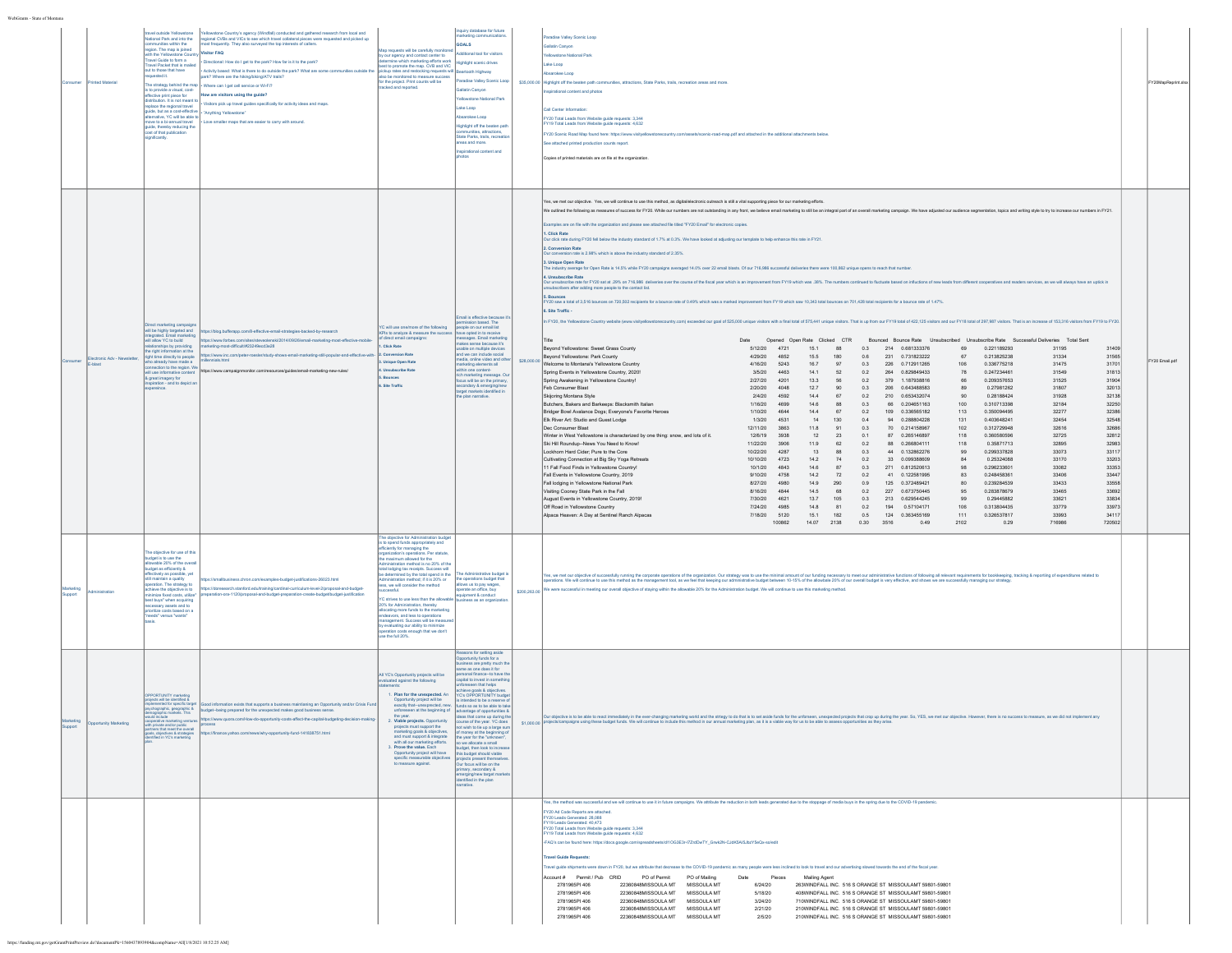| WebGrants - State of Montana |                         |                                                                                                                                                                                                                                                                                                                                                                                                                                                                  |                                                                                                                                                                                                                                                                                                                                                                                                                                                                                                                                                                                                                                                                                                                                                                                                                                                                                                                                                       |                                                                                                                                                                                                                                                                                                                                                                                                                                                                                                                                                                                                                                                                                           |                                                                                                                                                                                                                                                                                                                                                                                                                                                                                                                                                                                                                                                                                                                      |              |                                                                                                                                                                                                                                                                                                                                                                                                                                                                                                                                                                                                                                                                                                                                                                                                                                                                                                                                                                                                                                                                                                                                                                                                                                                                                                                                                                                                                                                                                                                                                                                                                                                                                                                                                                                                                                                                                                                                                                                                                                                                                                                                                                                                                                                                                                                                                                                                                                                                                                                                                                                                                                                                                                                                                                                                                                                                                                                                                                                                                                                                                                                                                                                                                                                                                                                                                                                                                                                                                                                                                                                                                                                                                                                                                                                                                                                                                                                                                                                                                                                                                                                                                                                                                                                                                                                                                                                                                                                                                                                                                                                                                                                                                                                                                                                                                                                                                                                                                                                                                                                                                                                                                              |                     |
|------------------------------|-------------------------|------------------------------------------------------------------------------------------------------------------------------------------------------------------------------------------------------------------------------------------------------------------------------------------------------------------------------------------------------------------------------------------------------------------------------------------------------------------|-------------------------------------------------------------------------------------------------------------------------------------------------------------------------------------------------------------------------------------------------------------------------------------------------------------------------------------------------------------------------------------------------------------------------------------------------------------------------------------------------------------------------------------------------------------------------------------------------------------------------------------------------------------------------------------------------------------------------------------------------------------------------------------------------------------------------------------------------------------------------------------------------------------------------------------------------------|-------------------------------------------------------------------------------------------------------------------------------------------------------------------------------------------------------------------------------------------------------------------------------------------------------------------------------------------------------------------------------------------------------------------------------------------------------------------------------------------------------------------------------------------------------------------------------------------------------------------------------------------------------------------------------------------|----------------------------------------------------------------------------------------------------------------------------------------------------------------------------------------------------------------------------------------------------------------------------------------------------------------------------------------------------------------------------------------------------------------------------------------------------------------------------------------------------------------------------------------------------------------------------------------------------------------------------------------------------------------------------------------------------------------------|--------------|--------------------------------------------------------------------------------------------------------------------------------------------------------------------------------------------------------------------------------------------------------------------------------------------------------------------------------------------------------------------------------------------------------------------------------------------------------------------------------------------------------------------------------------------------------------------------------------------------------------------------------------------------------------------------------------------------------------------------------------------------------------------------------------------------------------------------------------------------------------------------------------------------------------------------------------------------------------------------------------------------------------------------------------------------------------------------------------------------------------------------------------------------------------------------------------------------------------------------------------------------------------------------------------------------------------------------------------------------------------------------------------------------------------------------------------------------------------------------------------------------------------------------------------------------------------------------------------------------------------------------------------------------------------------------------------------------------------------------------------------------------------------------------------------------------------------------------------------------------------------------------------------------------------------------------------------------------------------------------------------------------------------------------------------------------------------------------------------------------------------------------------------------------------------------------------------------------------------------------------------------------------------------------------------------------------------------------------------------------------------------------------------------------------------------------------------------------------------------------------------------------------------------------------------------------------------------------------------------------------------------------------------------------------------------------------------------------------------------------------------------------------------------------------------------------------------------------------------------------------------------------------------------------------------------------------------------------------------------------------------------------------------------------------------------------------------------------------------------------------------------------------------------------------------------------------------------------------------------------------------------------------------------------------------------------------------------------------------------------------------------------------------------------------------------------------------------------------------------------------------------------------------------------------------------------------------------------------------------------------------------------------------------------------------------------------------------------------------------------------------------------------------------------------------------------------------------------------------------------------------------------------------------------------------------------------------------------------------------------------------------------------------------------------------------------------------------------------------------------------------------------------------------------------------------------------------------------------------------------------------------------------------------------------------------------------------------------------------------------------------------------------------------------------------------------------------------------------------------------------------------------------------------------------------------------------------------------------------------------------------------------------------------------------------------------------------------------------------------------------------------------------------------------------------------------------------------------------------------------------------------------------------------------------------------------------------------------------------------------------------------------------------------------------------------------------------------------------------------------------------------------------------------------------|---------------------|
| nsume                        | Inted Material          | avel outside Yellowstone<br>tional Park and into the<br>sunities within the<br>gion. The map is joined<br>th the Yellowstone Cour<br>avel Guide to form a<br>avel Packet that is mailed<br>out to those that have<br>suested it.<br>tribution. It is not meant to<br>lace the regional travel<br>ide, but as a cost-effective<br>hative, YC will be able to<br>nove to a bi-annual travel<br>de, thereby reducing the<br>ost of that publication<br>ignificanty. | ellowstone Country's agency (Windfall) conducted and gathered research from local and<br>entowaters country a system ( virtualism) considerate in planeted requested and picked up<br>local CVBs and VICs to see which travel collateral pieces were requested and picked up<br>lost frequently. They also surveyed the top i<br>sitor FAQ<br>Directional: How do I get to the park? How far is it to the park?<br>- Activity based: What is there to do outside the park? What are some communities outside the<br>rk? Where are the hiking/biking/ATV trails?<br>he strategy behind the map $\big $ . Where can I get cell service or Wi-Fi?<br>The small-gy $\frac{1}{2}$ of the small cost-<br>s to provide a visual, cost-<br>$\frac{1}{2}$ How are visitors using the guide?<br>. Visitors pick up travel quides specifically for activity ideas and maps.<br>"Anything Yellowstone"<br>Love smaller maps that are easier to carry with around. | lap requests will be carefully monitory<br>by our agency and contact center to<br>determine which marketing efforts work<br>best to promote the map. CVB and VIC<br>pickup rates and restocking requests will<br>also be monitored to measure success<br>for the project. Print counts will be<br>racked and reported.                                                                                                                                                                                                                                                                                                                                                                    | inquiry database for future<br>arketing communications<br>GOALS<br>ditional tool for visitors<br>ighlight scenic drives<br>artooth Highway<br>radise Valley Scenic Loop<br>allatin Canyor<br><b>Yellowstone National Park</b><br>Lake Loop<br>bsarokee Loop<br><b>Highlight off the beaten pat</b><br>nities, attractions.<br>State Parks, trails, recre<br>reas and more.<br>irational content and                                                                                                                                                                                                                                                                                                                  |              | aradise Valley Scenic Loop<br><b>Salatin Canyor</b><br>ellowstone National Park<br>ake Loco<br>sarokee Loop<br>\$35,000.00 Highlight off the beaten path communities, attractions, State Parks, trails, recreation areas and more.<br>pirational content and photos<br>all Center Information:<br>Y20 Total Leads from Website guide requests: 3,344<br>19 Total Leads from Website guide requests: 4,632<br>FY20 Scenic Road Map found here: https://www.visitvellowstonecountry.com/assets/scenic-road-map.odf and attached in the additional attachments below<br>See attached printed production counts report.<br>Cooies of printed materials are on file at the organization.                                                                                                                                                                                                                                                                                                                                                                                                                                                                                                                                                                                                                                                                                                                                                                                                                                                                                                                                                                                                                                                                                                                                                                                                                                                                                                                                                                                                                                                                                                                                                                                                                                                                                                                                                                                                                                                                                                                                                                                                                                                                                                                                                                                                                                                                                                                                                                                                                                                                                                                                                                                                                                                                                                                                                                                                                                                                                                                                                                                                                                                                                                                                                                                                                                                                                                                                                                                                                                                                                                                                                                                                                                                                                                                                                                                                                                                                                                                                                                                                                                                                                                                                                                                                                                                                                                                                                                                                                                                                          | FY20MapReprint.xlsx |
|                              | tronic Adv - Newsletter | et marketing campaign<br>will be highly targeted and<br>integrated. Fmail marketing<br>Integrated. Email marks<br>will allow YC to build<br>pnibivoty yd agirlano<br>he right information at the<br>time directly to people<br>o already have made a<br>nection to the region. We<br>will use informative content<br>& great imagery for<br>iration - and to depict a<br>reince.                                                                                 | tps://blog.bufferapp.com/8-effective-email-strategies-backed-by-research<br>https://www.forbes<br>enski/2014/09/26/email-marketing-most-effective-mo<br>arketing-most-difficult#23249ecd3e28<br>as://www.inc.com/peter-roesler/study-shows-email-marketing-still-popular-and-effective-with<br>llennials.html<br>https://www.campaignmonitor.com/resources/guides/email-marketing-new-rules/                                                                                                                                                                                                                                                                                                                                                                                                                                                                                                                                                          | YC will use one/more of the following<br>(Pls to analyze & measure the succes<br>f direct email campaigns:<br>. Click Rate<br><b>Conversion Rate</b><br>. Unique Open Rate<br><b>Unsubscribe Rate</b><br>.<br>Bounces<br>Site Traffic<br>The objective for Administration budge                                                                                                                                                                                                                                                                                                                                                                                                           | mail is effective because i<br>ission based. Th<br>eople on our email list<br>we coted in to receive<br>sages. Email marketing<br>akes sense because it's<br>sable on multiple device<br>and we can include social<br>media, online video and oth<br>arketing elements all<br>ithin one content-<br>ich marketing message. O<br>ocus will be on the primary<br>secondary & emerging/new<br>target markets identified in<br>.<br>plan narrative.                                                                                                                                                                                                                                                                      | \$28,000.00  | Yes, we met our objective. Yes, we will continue to use this method, as digital/electronic outreach is still a vital supporting piece for our marketing efforts.<br>We outlined the following as measures of success for FY20. While our numbers are not outstanding in any front, we believe email marketing to still be an integral part of an overall marketing compaign. We have adjusted our<br>amples are on file with the organization and please see attached file titled "FY20 Email" for electronic copies.<br>1. Click Rate<br>Our dick rate during FY20 fell below the industry standard of 1.7% at 0.3%. We have looked at adjusting our template to help enhance this rate in FY21.<br>2. Conversion Rate<br>on rate is 2.98% which is above the industry standard of 2.35%.<br>3. Unique Open Rate<br>industry average for Open Rate is 14.5% while FY20 campaigns averaged 14.0% over 22 email blasts. Of our 716,986 successful deliveries there were 100,862 unique opens to reach that number<br>Unsubscribe Ra<br>Our unsubscribe rate for FY20 sat at .29% on 716,986 deliveries over the course of the fiscal year which is an improvement from FY19 which was .38%. The numbers continued to fluctuate based on influctions of new leads from<br>isubscribers after adding more people to the contact list.<br>Y20 saw a total of 3,516 bounces on 720,502 recipients for a bounce rate of 0.49% which was a marked improvement from FY19 which saw 10,343 total bounces on 701,428 total recipients for a bounce rate of 1.47%.<br>6. Site Traffic -<br>In FY20, the Yellowstone Country website (www.visityellowstonecountry.com) exceeded our goal of 525,000 unique visitors with a final total of 575,441 unique visitors. That is up from our FY19 total of 422,125 visitors and<br>Date  Opened Open Rate Clicked CTR  Bounced Bounce Rate  Unsubscribed Unsubscribe Rate  Successful Deliveries  Total Sent<br>5/12/20 4721 15.1 88 0.3 214 0.681333376<br>Bevond Yellowstone: Sweet Grass County<br>69 0.221189293<br>31195<br>31409<br>Beyond Yellowstone: Park County<br>4/29/20 4852<br>15.5<br>180<br>0.6<br>231 0.731823222<br>67<br>0.213825238<br>31334<br>31565<br>Welcome to Montana's Yellowstone Country<br>4/16/20 5243<br>16.7<br>97<br>0.3 226 0.712911265<br>106<br>0.336775218<br>31475<br>31701<br>3/5/20 4463<br>14.1<br>0.2 264 0.829849433<br>0.247234461<br>31549<br>31813<br>Spring Events in Yellowstone Country, 2020!<br>52<br>78<br>Spring Awakening in Yellowstone Country!<br>2/27/20  4201<br>13.3<br>56<br>0.2<br>379 1.187938816<br>66<br>0.209357653<br>31525<br>31904<br>Feb Consumer Blast<br>2/20/20 4048<br>12.7<br>90<br>206  0.643488583<br>0.27981262<br>31807<br>32013<br>0.3<br>89<br>Skijoring Montana Style<br>2/4/20 4592<br>14.4 67<br>0.2 210 0.653432074<br>90 <sub>1</sub><br>0.28188424<br>31928<br>32138<br>Butchers, Bakers and Barkeeps: Blacksmith Italian<br>1/16/20 4699<br>14.6<br>88<br>0.3<br>66  0.204651163<br>100<br>0.310713398<br>32184<br>32250<br>1/10/20 4644<br>109 0.336565182<br>0.350094495<br>Bridger Bowl Avalance Dogs: Everyone's Eavorite Heroes<br>14.4 67<br>0.2<br>113<br>32277<br>32386<br>Elk River Art: Studio and Guest Lodge<br>1/3/20 4531<br>14<br>130<br>0.4<br>94  0.288804228<br>131<br>0.403648241<br>32454<br>32548<br>Dec Consumer Blast<br>12/11/20 3863<br>11.8<br>91<br>0.3<br>70  0.214158967<br>102<br>0.312729948<br>32616<br>32686<br>Winter in West Yellowstone is characterized by one thing: snow, and lots of it.<br>12/6/19 3938<br>12<br>23<br>0.1<br>87 0.265146897<br>118<br>0.360580596<br>32725<br>32812<br>Ski Hill Roundup--News You Need to Know!<br>11/22/20 3906<br>11.9<br>62<br>0.2 88 0.266804111<br>0.35871713<br>32895<br>32983<br>118<br>10/22/20 4287<br>0.3 44 0.132862276<br>0.299337828<br>33073<br>33117<br>I ockhorn Hard Cider: Pure to the Core<br>13<br>88<br>99<br>Cultivating Connection at Big Sky Yoga Retreats<br>10/10/20 4723<br>14.2<br>74<br>0.2<br>33  0.099388609<br>0.25324088<br>33170<br>33203<br>84<br>11 Fall Food Finds in Yellowstone Country!<br>10/1/20 4843<br>87<br>0.3 271 0.812520613<br>0.296233601<br>33353<br>14.6<br>98<br>33082<br>Fall Events in Yellowstone Country, 2019<br>9/10/20 4758<br>14.2 72<br>0.2 41 0.122581995<br>83<br>0.248458361<br>33406<br>33447<br>8/27/20 4980<br>33558<br>Fall lodging in Yellowstone National Park<br>14.9<br>290<br>0.9<br>125  0.372489421<br>80<br>0.239284539<br>33433<br>8/16/20 4844<br>Visiting Cooney State Park in the Fall<br>14.5 68<br>0.2 227 0.673750445<br>95<br>0.283878679<br>33465<br>33692<br>August Events in Yellowstone Country, 2019!<br>7/30/20 4621<br>13.7 105<br>213  0.629544245<br>0.29445882<br>33621<br>33834<br>0.3<br>99<br>7/24/20 4985<br>14.8<br>81<br>0.2<br>194   0.57104171<br>106<br>0.313804435<br>33779<br>33973<br>Off Road in Yellowstone Country<br>Alpaca Heaven: A Day at Sentinel Ranch Alpacas<br>7/18/20 5120<br>15.1 182<br>0.5 124 0.363455169<br>111<br>0.326537817<br>33993<br>34117<br>100862<br>14.07 2138 0.30 3516<br>716986<br>720502<br>0.49<br>2102<br>0.29 | FY20 Email.pdf      |
| upport                       |                         | b objective for use of thi<br>dget is to use the<br>wable 20% of the overal<br>doet as efficiently &<br>tively as possible, yet<br>maintain a quality<br>eration. The strategy to<br>jeve the objective is to<br>ize fxed costs, utilize<br>est buys" when acquiring<br>ssary assets and to<br>oritize costs based on<br>heds" versus "wants"                                                                                                                    | s://smallbusiness.chron.com/examples-budget-justifications-26023.html<br>ps://doresearch.stanford.edu/training/cardinal-curriculum-level-2/proposal-and-budget<br>paration-ora-1120/proposal-and-budget-preparation-create-budget/budget-justificatio                                                                                                                                                                                                                                                                                                                                                                                                                                                                                                                                                                                                                                                                                                 | s to spend funds appropriately and<br>et to apena tensor appropriately and<br>ifficiently for managing the<br>irganization's operations. Per statute,<br>e maximum allowed for the<br>inistration method is no 20% of the<br>al lodging tax receipts. Success will<br>determined by the total spend in the<br>nistration method: if it is 20% or<br>s, we will consider the method<br>esstul.<br>strives to use less than the allowa<br>20% for Administration, thereby<br>allocating more funds to the marketing<br>principal and less to consistions.<br>agement. Success will be mea<br>w evaluating our ability to minimize<br>eration costs enough that we don't<br>se the full 20%. | te Administrative hudget i<br>the operations budget that<br>allows us to pay wages,<br>pperate an office, but<br>quipment & conduct<br>usiness as an organizat                                                                                                                                                                                                                                                                                                                                                                                                                                                                                                                                                       | \$200,263.00 | is, we met our objective of successfully running the corporate operations of the organization. Our strategy was to use the minimal amount of our funding necessary to meet our administrative fundions of following all releva<br>dions. We will continue to use this method as the management tool, as we feel that keeping our administrative budget between 10-15% of the allowbale 20% of our overall budget is very effective, and shows we are successfull<br>were successful in meeting our overall objective of staying within the allowable 20% for the Administration budget. We will continue to use this marketing method.                                                                                                                                                                                                                                                                                                                                                                                                                                                                                                                                                                                                                                                                                                                                                                                                                                                                                                                                                                                                                                                                                                                                                                                                                                                                                                                                                                                                                                                                                                                                                                                                                                                                                                                                                                                                                                                                                                                                                                                                                                                                                                                                                                                                                                                                                                                                                                                                                                                                                                                                                                                                                                                                                                                                                                                                                                                                                                                                                                                                                                                                                                                                                                                                                                                                                                                                                                                                                                                                                                                                                                                                                                                                                                                                                                                                                                                                                                                                                                                                                                                                                                                                                                                                                                                                                                                                                                                                                                                                                                                       |                     |
| eting<br>upport              | ortunity Marketing      | OPPORTUNITY marketing<br>projects will be identified &<br>lynolemented for specific tary<br>psychographic, geographic &<br>demographic markets. This<br>xild include<br>operative marketing venture<br>Ih private and/or public<br>partners that meet the overall<br>goals, objectives & strategies<br>identified in YC's marketing                                                                                                                              | od information exists that supports a business maintianing an Opportunity and/or Crisis Fund<br>budget--being prepared for the une<br>ected makes good business sense.<br>ttps://www.quora.com/How-do-opportunity-costs-affect-the-capital-budgeting-decision-mak<br>process<br>ps://finance.yahoo.com/news/why-opportunity-fund-141838751.html                                                                                                                                                                                                                                                                                                                                                                                                                                                                                                                                                                                                       | All YC's Opportunity projects will be<br>aluated against the following<br>1 Plan for the unexpected An<br>Opportunity project will be<br>exactly that--unexprected, new,<br>unforeseen at the beginning of<br>the year.<br>2. Viable projects. Opportunity<br>projects must support the<br>marketing goals & objectives,<br>and must support & integrate<br>with all our marketing efforts.<br>3. Prove the value. Each<br>Opportunity project will have<br>specific measurable objectives<br>to measure against.                                                                                                                                                                         | Reasons for setting aside<br>Opportunity funds for a<br>isiness are pretty much th<br>me as one does it for<br>ersonal finance--to have the<br>apital to invest in somethin<br>foreseen that helps<br>achieve goals & objectives.<br>YC's OPPORTUNITY budge<br>is intended to be a reserve o<br>funds so as to be able to tak<br>iovantage of opportunities &<br>feas that come up during the<br>course of the year. YC does<br>not wish to tie up a large sur<br>ney at the beginning<br>the year for the "unk<br>so we allocate a small<br>budget, then look to incre<br>this budget should viable<br>ojects present thems<br>Our focus will be on the<br>rimary, secondary &<br>emerging/new target<br>narrative. | \$1,000.00 P | Our objective is to be able to react immediately in the ever-changing marketing world and the stritegy to do that is to set aside funds for the unforseen, unexpected projects that crop up during the year. So, YES, we met o<br>clects/campaigns using these budget funds. We will continue to include this method in our annual marketing plan, as it is a viable way for us to be able to assess opportunities as they arise.                                                                                                                                                                                                                                                                                                                                                                                                                                                                                                                                                                                                                                                                                                                                                                                                                                                                                                                                                                                                                                                                                                                                                                                                                                                                                                                                                                                                                                                                                                                                                                                                                                                                                                                                                                                                                                                                                                                                                                                                                                                                                                                                                                                                                                                                                                                                                                                                                                                                                                                                                                                                                                                                                                                                                                                                                                                                                                                                                                                                                                                                                                                                                                                                                                                                                                                                                                                                                                                                                                                                                                                                                                                                                                                                                                                                                                                                                                                                                                                                                                                                                                                                                                                                                                                                                                                                                                                                                                                                                                                                                                                                                                                                                                                            |                     |
|                              |                         |                                                                                                                                                                                                                                                                                                                                                                                                                                                                  |                                                                                                                                                                                                                                                                                                                                                                                                                                                                                                                                                                                                                                                                                                                                                                                                                                                                                                                                                       |                                                                                                                                                                                                                                                                                                                                                                                                                                                                                                                                                                                                                                                                                           |                                                                                                                                                                                                                                                                                                                                                                                                                                                                                                                                                                                                                                                                                                                      |              | es, the method was successful and we will continue to use it in future campaigns. We attribute the reduction in both leads generated due to the stoppage of media buys in the spring due to the COVID-19 pandemic<br>-<br>FY20 Ad Code Reports are attached<br>FY20 Leads Generated: 28,088<br>FY19 Leads Generated: 40.473<br>- 13 Leads Schemate, 40,413<br>- 120 Total Leads from Website guide requests: 3,344<br>- 19 Total Leads from Website guide requests: 4,632<br>AQ's can be found here: https://docs.google.com/spreadsheets/d/1OG3E3r-17ZrdDwTY_Grwk2N-CJdK5AI5JbzY5eQx-so/edit<br><b>Fravel Guide Requests:</b><br>avel guide shipments were down in FY20, but we attribute that decrease to the COVID-19 pandemic as many people were less inclined to look to travel and our advertising slowed towards the end of the fiscal year.<br>Account # Permit / Pub CRID PO of Permit PO of Mailing<br><b>Mailing Agent</b><br>Date<br>Pieces<br>2781965PI 406<br>22360848MISSOULA MT MISSOULA MT<br>6/24/20<br>263WINDEALL INC. 516 S ORANGE ST. MISSOLILAMT 59801-59801<br>2781965PI 406<br>22360848MISSOULA MT<br>MISSOULA MT<br>5/18/20<br>408WINDFALL INC. 516 S ORANGE ST MISSOULAMT 59801-59801<br>22360848MISSOULA MT MISSOULA MT<br>710WINDFALL INC. 516 S ORANGE ST MISSOULAMT 59801-59801<br>2781965PI 406<br>3/24/20<br>22360848MISSOULA MT MISSOULA MT<br>2/21/20<br>210WINDFALL INC. 516 S ORANGE ST MISSOULAMT 59801-59801<br>2781965PI 406<br>2781965PI 406<br>22360848MISSOULA MT MISSOULA MT<br>2/5/20<br>210WINDFALL INC. 516 S ORANGE ST MISSOULAMT 59801-59801                                                                                                                                                                                                                                                                                                                                                                                                                                                                                                                                                                                                                                                                                                                                                                                                                                                                                                                                                                                                                                                                                                                                                                                                                                                                                                                                                                                                                                                                                                                                                                                                                                                                                                                                                                                                                                                                                                                                                                                                                                                                                                                                                                                                                                                                                                                                                                                                                                                                                                                                                                                                                                                                                                                                                                                                                                                                                                                                                                                                                                                                                                                                                                                                                                                                                                                                                                                                                                                                                                                                                               |                     |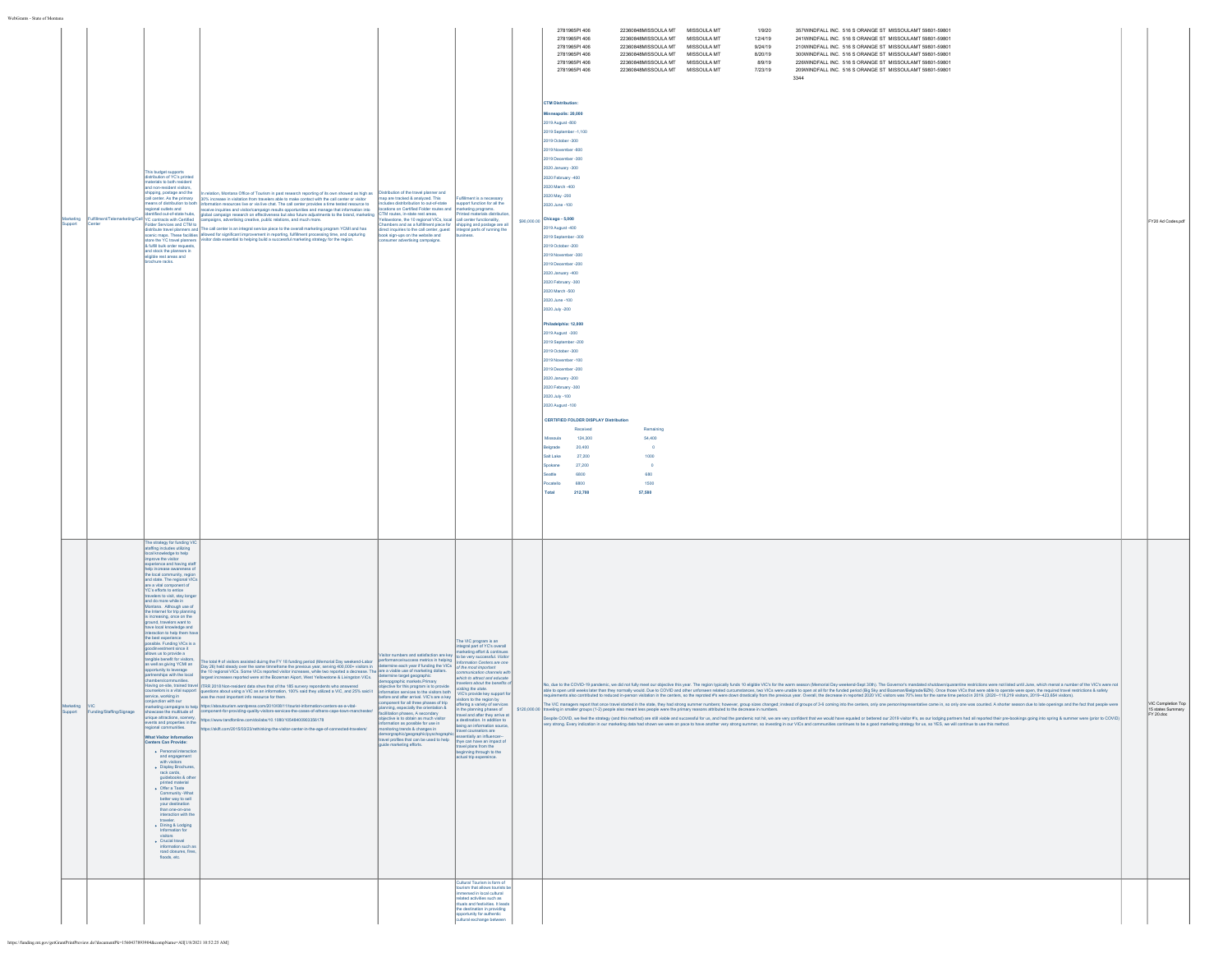| WebGrants - State of Montana |                       |                                                                                                                                                                                                                                                                                                                                                                                                                                                                                                                                                                                                                                                                                                                                                                                                                                                                                                                                                                                                                                                                                                                                                                                                                                                                                                                                                                                                                               |                                                                                                                                                                                                                                                                                                                                                                                                                                                                                                                                                                                                                                                                                                                                                                                                                                                                                                                                                                                                                                                                                                                   |                                                                                                                                                                                                                                                                                                                                                                                                  |                                                                                                                                                                                                                                                                                                                                                                                                                                                      | 2781965PI 406<br>22360848MISSOULA MT MISSOULA MT<br>1/9/20<br>357WINDFALL INC. 516 S ORANGE ST MISSOULAMT 59801-59801                                                                                                                                                                                                                                                                                                                                                                                                                                                                                                                                                                                                                                                                                                                                                                                                                                                                                                                                                                                                                                                                                                                                                                                                                                                                                                                                                                                                                                                                                                                                   |                                                      |
|------------------------------|-----------------------|-------------------------------------------------------------------------------------------------------------------------------------------------------------------------------------------------------------------------------------------------------------------------------------------------------------------------------------------------------------------------------------------------------------------------------------------------------------------------------------------------------------------------------------------------------------------------------------------------------------------------------------------------------------------------------------------------------------------------------------------------------------------------------------------------------------------------------------------------------------------------------------------------------------------------------------------------------------------------------------------------------------------------------------------------------------------------------------------------------------------------------------------------------------------------------------------------------------------------------------------------------------------------------------------------------------------------------------------------------------------------------------------------------------------------------|-------------------------------------------------------------------------------------------------------------------------------------------------------------------------------------------------------------------------------------------------------------------------------------------------------------------------------------------------------------------------------------------------------------------------------------------------------------------------------------------------------------------------------------------------------------------------------------------------------------------------------------------------------------------------------------------------------------------------------------------------------------------------------------------------------------------------------------------------------------------------------------------------------------------------------------------------------------------------------------------------------------------------------------------------------------------------------------------------------------------|--------------------------------------------------------------------------------------------------------------------------------------------------------------------------------------------------------------------------------------------------------------------------------------------------------------------------------------------------------------------------------------------------|------------------------------------------------------------------------------------------------------------------------------------------------------------------------------------------------------------------------------------------------------------------------------------------------------------------------------------------------------------------------------------------------------------------------------------------------------|---------------------------------------------------------------------------------------------------------------------------------------------------------------------------------------------------------------------------------------------------------------------------------------------------------------------------------------------------------------------------------------------------------------------------------------------------------------------------------------------------------------------------------------------------------------------------------------------------------------------------------------------------------------------------------------------------------------------------------------------------------------------------------------------------------------------------------------------------------------------------------------------------------------------------------------------------------------------------------------------------------------------------------------------------------------------------------------------------------------------------------------------------------------------------------------------------------------------------------------------------------------------------------------------------------------------------------------------------------------------------------------------------------------------------------------------------------------------------------------------------------------------------------------------------------------------------------------------------------------------------------------------------------|------------------------------------------------------|
| upport                       | <b>Center</b>         | This budget supports<br>distribution of YC's printer<br>materials to both resident<br>and non-resident visitors,<br>shipping, postage and the<br>call center. As the primary<br>eans of distribution to both<br>gional outlets and<br>ntified out-of-state hubs,<br>YC contracts with Certified<br>& fulfill bulk order requests,<br>and stock the planners in<br>eligible rest areas and<br>chure racks.                                                                                                                                                                                                                                                                                                                                                                                                                                                                                                                                                                                                                                                                                                                                                                                                                                                                                                                                                                                                                     | relation, Montana Office of Tourism in past research reporting of its own showed as high as <b>Distribution of the travel planner</b> and<br>In reason, Montaña Umbe di Toulem in past research reporting or is own stronged as Ingri as 30% increase in visibation from traveless able to make contact with the call center or visibor (and in the call center or visibor<br>campaigns, advertising creative, public relations, and much more.<br>Folder Senvices and CTM to computers, wavenuse is usering the measurement and must institute the measurement of<br>distribute travel planners and TThe call center is an integral service piece to the overall marketing program                                                                                                                                                                                                                                                                                                                                                                                                                               | reliowstone, the 10 regional VICs, local call center functionalty,<br>Chambers and as a fulfilment piece for shipping and postage are all<br>linect inquiries to the call center, guest integral parts of running the<br>book sign-ups on the website and<br>consumer advertising campaigns.                                                                                                     | business.                                                                                                                                                                                                                                                                                                                                                                                                                                            | 2781965PI 406<br>22360848MISSOULA MT<br>MISSOULA MT<br>12/4/19<br>241WINDFALL INC. 516 S ORANGE ST MISSOULAMT 59801-59801<br>2781965PI 406<br>22360848MISSOULA MT MISSOULA MT<br>210WINDFALL INC. 516 S ORANGE ST MISSOULAMT 59801-59801<br>9/24/19<br>2781965PI 406<br>22360848MISSOULA MT MISSOULA MT<br>8/20/19<br>300WINDFALL INC. 516 S ORANGE ST MISSOULAMT 59801-59801<br>226WINDFALL INC. 516 S ORANGE ST MISSOULAMT 59801-59801<br>2781965PI 406<br>22360848MISSOULA MT MISSOULA MT<br>8/9/19<br>2781965PI 406<br>22360848MISSOULA MT MISSOULA MT<br>7/23/19<br>209WINDFALL INC. 516 S ORANGE ST MISSOULAMT 59801-59801<br>3344<br>CTM Distribution:<br>neapolis: 20,000<br>2019 August -800<br>019 September -1,100<br>019 October -300<br>2019 November -600<br>2019 December -300<br>2020 January -300<br>2020 February -400<br>2020 March -400<br>2020 May -200<br>2020 June -100<br>$$90,000.00$ Chicago - 5,000<br>2019 August -400<br>2019 September -300<br>2019 October - 200<br>2019 November -300<br>2019 December -200<br>2020 January -400<br>2020 February -300<br>2020 March -500<br>2020 June -100<br>2020 July -200<br>Philadelphia: 12,000<br>2019 August -300<br>2019 September - 200<br>19 October -300<br>2019 November -100<br>2019 December -200<br>2020 January -200<br>2020 February -300<br>2020 July -100<br>2020 August -100<br>CERTIFIED FOLDER DISPLAY Distribution<br>Received<br>Remaining<br>124,300<br>54,400<br>Missoula<br>Belgrade<br>20,400<br>$\circ$<br>Salt Lake<br>27,200<br>1000<br>pokane<br>27,200<br>$\circ$<br>Seattle<br>6800<br>680<br>otleteor<br>1500<br>6800<br>Total<br>212,700<br>57,580 | FY20 Ad Codes.pdf                                    |
| ting                         | ding/Staffing/Signage | The strategy for funding VIC<br>ataffing includes utilizing<br>local knowledge to help<br>an knowledge to http:<br>prove the visitor<br>perience and having stat<br>elo increase awareness of<br>the local community, region<br>and state. The regional VICs<br>are a vital component of<br>YC's efforts to entice<br>travelers to visit, stay long<br>and do more while in<br>Montana. Although use of<br>the Internet for trip planning<br>is increasing, once on the<br>ground, travelors want to<br>have local knowledge and<br>eraction to help them h<br>sible. Funding VICs is a<br>dinvestment since it<br>allows us to provide a<br>gible benefit for visitors,<br>as well as giving YCMI an<br>ortunity to leverage<br>nerships with the local<br>onsecution in the la<br>njunction with our<br>case the multitude of<br>nowcase are measured or<br>nique attractions, scenery,<br>vents and properties in the<br>egional communities.<br>What Visitor Information<br>Centers Can Provide:<br>· Personal interactio<br>and engagement<br>with visitors<br>• Display Brochures,<br>rack cards,<br>quidebooks & other<br>printed material<br>. Offer a Taste<br>Community -What<br>better way to sell<br>your destination<br>than one-on-one<br>interaction with the<br>• Dining & Lodging<br>Information for<br>visitors<br>$\bullet$ Crucial travel<br>information such as<br>road closures, fires,<br>floods, etc. | The build of videos assided dump the 17 M funding period (Mercurian Discover) performancements in the interpretational control of the material of the serve period of the serve of the funding period of the server of the ser<br>Having on-site, trained travel TTRR 2018 Non-resident data shws that of the 185 survery repondents who answered<br>bestoommatiss.<br>Gets is related through the material of the tilt survey reporteris who answered and comparent memorimes . In t<br>Gets is related through the comparation of the state that is the comparation series to the subst<br>https://aboutourism.wordpress.com/2010/08/11/burist-information-centers-as-a-vital-component for all three phases of the<br>- https://aboutourism.wordpress.com/2010/08/11/burist-information-centers-as-a-vital-component for al<br>marketing campaigns to help https://aboutourism.wordpress.com/2010/08/11/tourist-information-centers-as-a-vital-<br>ttps://www.tandfonline.com/doi/abs/10.1080/10548400903356178<br>lps://skift.com/2015/03/23/rethinking-the-visitor-center-in-the-age-of-connected-travelers/ | Integral part of YC's overall<br>Ishor numbers and satisfaction are key<br>Ito be very successful. Wisho<br>Ito be very successful. Wisho<br>demoporaphic markets Primary<br>objective is to obtain as much visitor<br>formation as possible for use in<br>nitoring trends & changes in<br>orgraphic/geographic/pyschograj<br>ravel profiles that can be used to help<br>uide marketing efforts. | The VIC program is an<br>Information Centers are one<br>communication channels with<br>which to attract and educate<br>offering a variety of services<br>h zeasdo polansin ed.<br>travel and after they arrive at<br>a destination. In addition to<br>being an information source<br>travel counselors are<br>ssentially an influencer<br>thye can have an impact of<br>travel plans from the<br>beginning through to the<br>actual trip expereince. | he, as the COVD figures in a discussion in the interaction in the inspiring that is the interaction in the interaction in the interaction in the institution institution in the interaction in the interaction in the interact<br>requirements also contributed to reduced in-person visitation in the centers, so the reproted #'s were down drastically from the previous year. Overall, the decrease in reported 2020 VIC visitors was 70% less for the same<br>The VIC managers report that once travel stanted in the state, they had strong summer numbers; however, group sizes changed; instead of groups of 3-6 coming into the centers, only one person/representative came in, so only<br>\$120,000.00 tn<br>elling in emailer crosse (1.2) nanole also meant larg nanole was the reiman reasons attributed to the decrease in numbers.<br>spite COVID, we feel the strategy (and this method) are still viable and successful for us, and had the pandemic not hit, we are very confident that we would have equaled or bettered our 2019 visitor #'s, as our lodging pa<br>ny strong. Every indication in our marketing data had shown we were on pace to have another very strong summer, so investing in our VICs and communities continues to be a good marketing strategy for us, so YES, we will con                                                                                                                                                                                                                                                                                                                                  | VIC Completion Top<br>15 states Summary<br>FY 20.doc |
|                              |                       |                                                                                                                                                                                                                                                                                                                                                                                                                                                                                                                                                                                                                                                                                                                                                                                                                                                                                                                                                                                                                                                                                                                                                                                                                                                                                                                                                                                                                               |                                                                                                                                                                                                                                                                                                                                                                                                                                                                                                                                                                                                                                                                                                                                                                                                                                                                                                                                                                                                                                                                                                                   |                                                                                                                                                                                                                                                                                                                                                                                                  | Cultural Tourism is form of<br>tourism that allows tourists t<br>immersed in local cultural<br>related activities such as<br>rituals and festivities. It leads<br>the destination in providing<br>opportunity for authentic<br>cultural exchange between                                                                                                                                                                                             |                                                                                                                                                                                                                                                                                                                                                                                                                                                                                                                                                                                                                                                                                                                                                                                                                                                                                                                                                                                                                                                                                                                                                                                                                                                                                                                                                                                                                                                                                                                                                                                                                                                         |                                                      |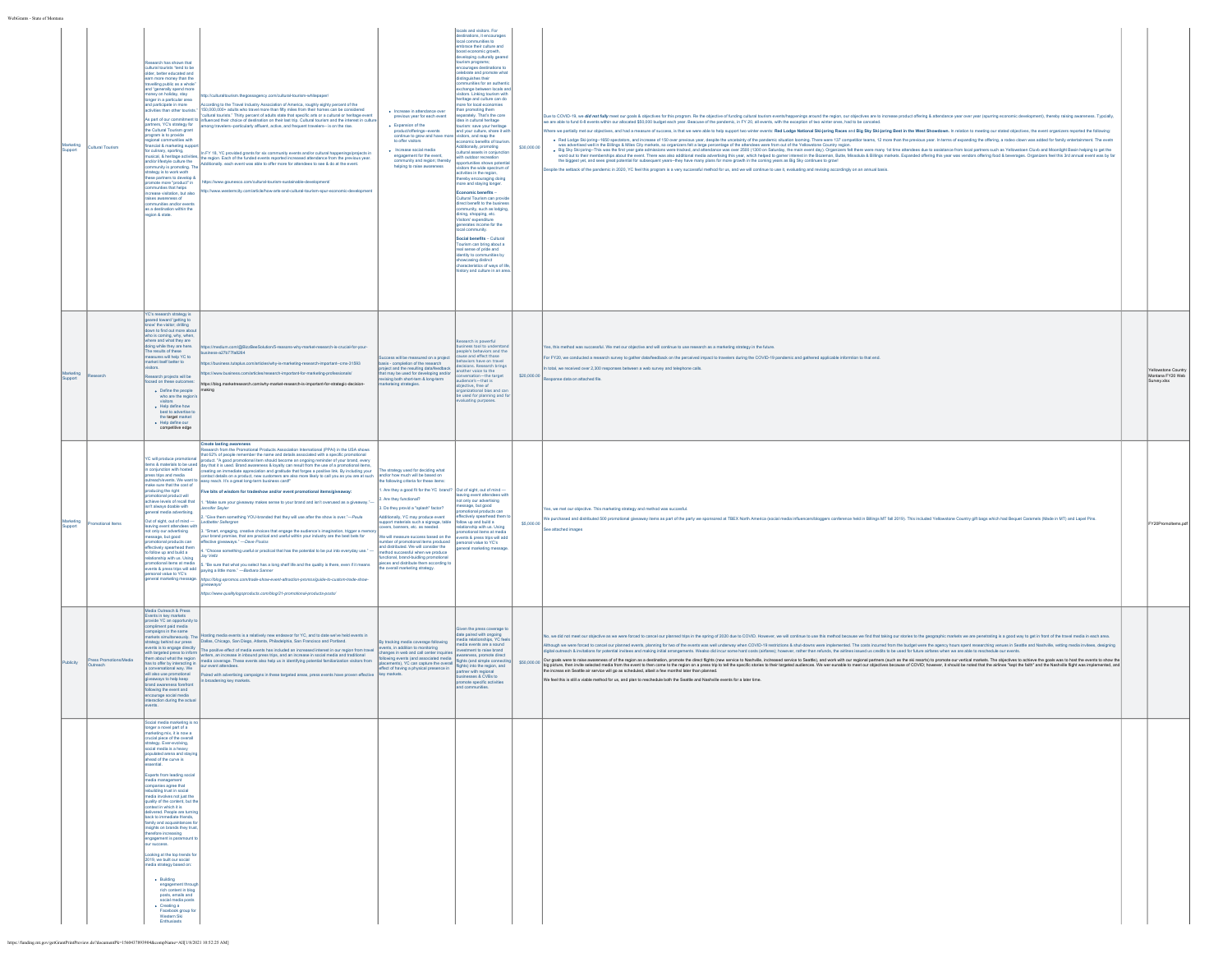| awaang<br>ipport       | Cultural Tourism     | earch has shown that<br>dural tourists "tend to be<br>der, better educated and<br>m more money than the<br>elling public as a whol<br>d "generally spend more<br>oney on holiday, stay<br>nger in a particular area<br>d participate in more<br>ivities than other tourists."<br>s part of our commitment t<br>tners, YC's strategy for<br>the Cultural Tourism grant<br>gram is to provide<br>jonal communities with<br>ancial & marketing supp-<br>r culinary, sporting,<br>usical, & heritage activities<br>d/or lifestyle culture the<br>munity is promoting.<br>ategy is to work woth<br>se partners to develop 8<br>se partners to develop 8<br>smote more "product" in<br>nmunties that helps<br>rease visitation, but also<br>ses awareness of<br>nunities and/or ev<br>s a destination within the<br>cion & state.                                    | cording to the Travel Industry Association of America, roughly eighty percent of the<br>«coording to one trained modulary essociation to remembar, roughly eighty periodic considered<br>150,000,000+ adults who travel more than fifty miles from their homes can be considered<br>cultural tourists." Thirty percent of ad<br>fluenced their choice of destination on their last trip. Cultural tourism and the interest in cultur<br>mong travelers--particularly affluent, active, and frequent travelers-- is on the rise.<br>In FY 18, YC provided grants for six community events and/or cultural happenings/projects in<br>he region. Each of the funded events reported increased attendance from the pre-<br>lous year<br>onally, each event was able to offer more for attendees to see & do at the event.<br>tps://www.gounesco.com/cultural-tourism-sustainable-development/<br>News westernity comfarticle/how.arts.and.cultural.tourism.snur.economic.develor                                                                                                                                                                                                                                                                                                                                                                                                                                                                                                                                                                                                                                                                                                                                                            | · Increase in attendance over<br>previous year for each event<br>. Expansion of the<br>duct/offerings-events<br>ontinue to grow and have mo<br>to offer visitors<br>· Increase social media<br>engagement for the event,<br>community and region; thereby<br>helping to raise awareness                                                                                                                                                                                                                                                                                                                                                       | locals and visitors. For<br>destinations, it encourages<br>local communities to<br>mbrace their culture and<br>post economic growth,<br>developing culturally geare<br>fourism programs;<br>encourages destinations to<br>celebrate and promote what<br>distinguishes their<br>nunities for an authent<br>ochange between locals an<br>Isitors. Linking tourism with<br>heritage and culture can do<br>nore for local economies<br>an promoting them<br>parately. That's the core<br>ea in cultural heritage<br>rism: save your heritac<br>and your culture, share it was<br>economic benefits of touris<br>Additionally, promoting<br>cultural assets in conjunc<br>ith outdoor recreation<br>portunities shows poter<br>visitors the wide spectrum<br>activities in the region,<br>thereby encouraging doing<br>ore and staying longe<br>Economic benefits -<br>Cultural Tourism can provident benefit to the busine<br>mmunity, such as lodging<br>dning, shopping, etc.<br>Visitors' expenditure<br>generates income for the<br>cal community.<br>iocial benefits - Cultural<br>Tourism can bring about a<br>eal sense of pride and<br>fentity to communities by<br>howcasing distinct<br>naracteristics of ways of life<br>ory and culture in an are | \$30,000.00 | Due to COVID-19, we did not fully meet our goals & objectives for this program. Re the objective of funding cultural tourism events/happenings around the region, our objectives are to increase product offering & attendance<br>are able to fund 6-8 events within our allocated \$50,000 budget each year. Beacuse of the pandemic, in FY 20, all events, with the exception of two winter ones, had to be canc<br>re we partially met our objectives, and had a measure of success, is that we were able to help support two winter events: Red Lodge National Ski-joring Races and Big Sky Ski-joring Rest in the West Showdown. In relation to<br>. Red Lodge Ski-joring--1650 spectalors, and increase of 150 over previous year, despite the uncetainty of the pandemic situation looming. There were 137 competitor teams, 12 more than the previous year. In terms of expand<br>and a statement of the companion of the companion of the state of the companion of the companion of the companion of the companion of the companion of the companion of the companion of the companion of the companion of the<br>the biggest yet, and sees great potential for subsequent years-they have many plans for more growth in the coming years as Big Sky continues to grow!<br>spite the setback of the pandemic in 2020, YC feel this program is a very successful method for us, and we will continue to use it, evaluating and revising accordingly on an annual basis. |                                                    |
|------------------------|----------------------|----------------------------------------------------------------------------------------------------------------------------------------------------------------------------------------------------------------------------------------------------------------------------------------------------------------------------------------------------------------------------------------------------------------------------------------------------------------------------------------------------------------------------------------------------------------------------------------------------------------------------------------------------------------------------------------------------------------------------------------------------------------------------------------------------------------------------------------------------------------|-----------------------------------------------------------------------------------------------------------------------------------------------------------------------------------------------------------------------------------------------------------------------------------------------------------------------------------------------------------------------------------------------------------------------------------------------------------------------------------------------------------------------------------------------------------------------------------------------------------------------------------------------------------------------------------------------------------------------------------------------------------------------------------------------------------------------------------------------------------------------------------------------------------------------------------------------------------------------------------------------------------------------------------------------------------------------------------------------------------------------------------------------------------------------------------------------------------------------------------------------------------------------------------------------------------------------------------------------------------------------------------------------------------------------------------------------------------------------------------------------------------------------------------------------------------------------------------------------------------------------------------------------------------------------------------------------------------------------------------------|-----------------------------------------------------------------------------------------------------------------------------------------------------------------------------------------------------------------------------------------------------------------------------------------------------------------------------------------------------------------------------------------------------------------------------------------------------------------------------------------------------------------------------------------------------------------------------------------------------------------------------------------------|-----------------------------------------------------------------------------------------------------------------------------------------------------------------------------------------------------------------------------------------------------------------------------------------------------------------------------------------------------------------------------------------------------------------------------------------------------------------------------------------------------------------------------------------------------------------------------------------------------------------------------------------------------------------------------------------------------------------------------------------------------------------------------------------------------------------------------------------------------------------------------------------------------------------------------------------------------------------------------------------------------------------------------------------------------------------------------------------------------------------------------------------------------------------------------------------------------------------------------------------------------------|-------------|----------------------------------------------------------------------------------------------------------------------------------------------------------------------------------------------------------------------------------------------------------------------------------------------------------------------------------------------------------------------------------------------------------------------------------------------------------------------------------------------------------------------------------------------------------------------------------------------------------------------------------------------------------------------------------------------------------------------------------------------------------------------------------------------------------------------------------------------------------------------------------------------------------------------------------------------------------------------------------------------------------------------------------------------------------------------------------------------------------------------------------------------------------------------------------------------------------------------------------------------------------------------------------------------------------------------------------------------------------------------------------------------------------------------------------------------------------------------------------|----------------------------------------------------|
| uppor                  |                      | C's research strategy is<br>eared toward 'getting to<br>how' the visitor; drilling<br>wn to find out more abo<br>the is coming, why, when,<br>there and what they are<br>ioing while they are here.<br>The results of these<br>asures will help YC to<br>arket itself better to<br>iors.<br>arch projects will be<br>csed on these outcomes<br>. Define the people<br>who are the region's<br>+ Help define how<br>best to advertise to<br>the target market<br>+ Help define our<br>competitive edge                                                                                                                                                                                                                                                                                                                                                          | tps://medium.com/@BizzBeeSolution/5-reasons-why-market-research-is-crucial-for-your-<br>ess-a27b77fa8264<br>ps://business.tutsplus.com/articles/why-is-marketing-research-important--cms-31593<br>s://www.business.com/articles/research-important-for-marketing-profe<br>https://blog.marketresearch.com/why-market-research-is-important-for-strategic-decision-<br>naking                                                                                                                                                                                                                                                                                                                                                                                                                                                                                                                                                                                                                                                                                                                                                                                                                                                                                                                                                                                                                                                                                                                                                                                                                                                                                                                                                            | ess will be mea<br>ired on a project<br>basis - completion of the research<br>plect and the resulting data/feedback<br>t may be used for developing and<br>sing both short-tem & long-term<br>leing strategies.                                                                                                                                                                                                                                                                                                                                                                                                                               | rch is powerful<br>ness tool to underst<br>people's behaviors and the<br>cause and effect those<br>ehaviors have on travel<br>lecisions, Research bring<br>nother voice to the<br>lience's-that is<br>ective, free of<br>rganizational bias and can<br>le used for planning and fo<br>aluating purposes.                                                                                                                                                                                                                                                                                                                                                                                                                                                                                                                                                                                                                                                                                                                                                                                                                                                                                                                                                  | \$20,000.00 | Yes, this method was successful. We met our objective and will continue to use research as a marketing strategy in the future.<br>For FY20, we conducted a research survey to gather data/feedback on the perceived impact to travelers during the COVID-19 pandemic and gathered applicable informtion to that end.<br>total, we received over 2.300 responses between a web survey and telephone calls.<br>onse data on attached file                                                                                                                                                                                                                                                                                                                                                                                                                                                                                                                                                                                                                                                                                                                                                                                                                                                                                                                                                                                                                                          | lowstone Country<br>lontana FY20 Web<br>urvey.xlsx |
| teting<br><b>pport</b> |                      | will produce promotional<br>ms & materials to be used<br>conjunction with hosted<br>ress trips and media<br>sach/events. We want to<br>ake sure that the cost of<br>oducing the right<br>comotional product will<br>chieve levels of recall that<br>nteve levels of recurrence<br>n't always doable with<br>eneral media advertising.<br>but of sight, out of mind-<br>aving event attendees with<br>t only our advertising<br>sage, but good<br>otional products car<br>lectively spearhead them<br>a blud bna qu wollot<br>ionship with us. Using<br>notional items at media<br>ents & press trips will add<br>onal value to YC's<br>eral marketing message                                                                                                                                                                                                  | <b>Create lasting awareness</b><br>esearch from the Promotional Products Association International (PPAI) in the USA shows<br>that 62% of people remember the name and details associated with a specific pror<br>product. "A good promotional item should become an ongoing reminder of your brand, every<br>day that it is used. Brand awareness & loyalty can result from the use of a promotional items,<br>eating an immediate appreciation and gratitude that forges a positive link. By including your<br>vascus animais on a product, new customers are also more likely to call you as you are at such<br>ontact details on a product, new customers are also more likely to call you as you are at such<br>asy reach. It's a great long-ter<br>Five bits of wisdom for tradeshow and/or event promotional items/giveaway:<br>"Make sure your giveaway makes sense to your brand and isn't overused as a giveaway."<br>ennifer Seyler<br>"Give them something YOU-branded that they will use after the show is over."-Paula<br>Leabetter Sellergren<br>"Smart, engaging, creative choices that engage the audience's imagination, trigger a mer<br>ur brand promise, that are practical and useful within your industry are the best bets for<br>ective giveaways." - Dave Poulos<br>. "Choose something useful or practical that has the potential to be put into everyday use."<br>lay Veltz<br>. "Be sure that what you select has a long shelf life and the quality is there, even if it means<br>paying a little more." - Barbara Sanner<br>https://blog.epromos.com/trade-show-event-attraction-promos/guide-to-custom-trade-show-<br>lveaways<br>ttps://www.qualitylogoproducts.com/blog/21-promotional-products-posts/ | he strategy used for deciding what<br>and/or how much will be based on<br>following criteria for these item<br>. Are they a good fit for the YC brand? Out of sight, out of mind-<br>Are they functional?<br>I. Do they provid a "splash" factor?<br>tionally, YC may produce event<br>upport materials such a signage, table<br>.<br>ers, banners, etc. as needed.<br>e will measure success based on the<br>mber of promotional ltems produced<br>d distributed. We will consider the<br>nethod successful when we produce<br>nctional, brand-buidling promotional<br>eces and distribute them according t<br>e overall marketing strategy. | saving event attendees with<br>not only our advertising<br>message, but good<br><b>Guide com</b><br>tively spearhead them<br>follow up and build a<br>relationship with us. Using<br>promotional items at media<br>events & press trips will add<br>personal value to YC's<br>.<br>peneral marketing messa                                                                                                                                                                                                                                                                                                                                                                                                                                                                                                                                                                                                                                                                                                                                                                                                                                                                                                                                                | \$5,000.0   | es, we met our objective. This marketing strategy and method was succesful.<br>We purchased and distributed 500 promotional giveaway ltems as part of the party we sponsored at TBEX North America (social media influencers/bloggers conference held in Billings MT fall 2019). This included Yellowstone Co<br>e attached images                                                                                                                                                                                                                                                                                                                                                                                                                                                                                                                                                                                                                                                                                                                                                                                                                                                                                                                                                                                                                                                                                                                                               | Y20Promoltems.pd                                   |
| blicity                | ess Promotions/Media | Media Outreach & Press<br>vents in key markets<br>vide YC an oppor<br>mpliment paid media<br>mpaigns in the same<br>rkets simultaneously. The<br>gy behind our press<br>ents is to engage directly<br>th targeted press to inform<br>email general pression intermal<br>as to offer by interacting in<br>onversational way. We<br>vil also use promotional<br>rays to help keep<br>rand awareness foref<br>lowing the event and<br>age social media<br>raction during the act                                                                                                                                                                                                                                                                                                                                                                                  | sting media events is a relatively new endeavor for YC, and to date we've held events in<br>Dallas, Chicago, San Diego, Atlanta, Philadelphia, San Francisco and Portland.<br>The positive effect of media events has included an increased interest in our region from trave<br>riters, an increase in inbound press trips, and an increase in social media and traditional<br>aired with advertising campaigns in these targeted areas, press events have proven effectiv<br>broadening key markets.                                                                                                                                                                                                                                                                                                                                                                                                                                                                                                                                                                                                                                                                                                                                                                                                                                                                                                                                                                                                                                                                                                                                                                                                                                  | tracking media coverage following<br>vents, in addition to monitoring<br>sences in web and call center ince<br>why events (and associated media<br>ements), YC can capture the overall<br>ffect of having a physical presence in<br>w markets                                                                                                                                                                                                                                                                                                                                                                                                 | iven the press coverage t<br>date paired with ongoing<br>media relationships, YC fee<br>media events are a sound<br>vestment to raise brand<br>wareness, promote direct<br>fights (and simple of<br>fights) into the region, and<br>partner with regional<br>inesses & CVBs to<br>mote specific acti<br>d communities.                                                                                                                                                                                                                                                                                                                                                                                                                                                                                                                                                                                                                                                                                                                                                                                                                                                                                                                                    | \$50,000.00 | io, we did not meet our objective as we were forced to cancel our planned trips in the spring of 2020 due to COVID. However, we will continue to use this method because we find that taking our stories to the geographic mar<br>hough we were forced to cancel our planned events, planning for two of the events was well underway when COVID-19 restrictions & shut-downs were implemented. The costs incurred from the budget were the agency hours spent r<br>digital outreach & invitations for potential invitees and making initial arrangements. Wealso did incur some hard costs (airlares); however, rather than refunds, the airlines issued us credits to be used for future airfare<br>Our goak were brake awarenes of the region as a destination, promote describintions are to be the back of the back and work and the market of the state of the state of the state of the state of the state of the state of th<br>We feel this is still a viable method for us, and plan to reschedule both the Seattle and Nashville events for a later time.                                                                                                                                                                                                                                                                                                                                                                                                             |                                                    |
|                        |                      | cial media m<br>moer a novel part of a<br>arketing mix, it is now a<br>ucial piece of the overall<br>rategy. Ever-evolving.<br>ocial media is a heavy<br>pulated arena and stay<br>head of the curve is<br>ential.<br>perts from leading social<br>edia management<br>mpanies agree that<br>ebuilding trust in social<br>hedia involves not just the<br>uality of the content, but the<br>ntext in which it is<br>shown in which is a<br>slivered. People are turning<br>mily and acquaintances fo<br>sights on brands they trust<br>erefore increasing<br>1gagement is paramount<br>success.<br>oking at the top trends fo<br>19, we built our social<br>edia strategy based on:<br>* Building<br>engagement through<br>rich content in blog<br>posts, emails and<br>social media posts<br>• Creating a<br>• Facebook group for<br>Western Ski<br>Enthusiasts |                                                                                                                                                                                                                                                                                                                                                                                                                                                                                                                                                                                                                                                                                                                                                                                                                                                                                                                                                                                                                                                                                                                                                                                                                                                                                                                                                                                                                                                                                                                                                                                                                                                                                                                                         |                                                                                                                                                                                                                                                                                                                                                                                                                                                                                                                                                                                                                                               |                                                                                                                                                                                                                                                                                                                                                                                                                                                                                                                                                                                                                                                                                                                                                                                                                                                                                                                                                                                                                                                                                                                                                                                                                                                           |             |                                                                                                                                                                                                                                                                                                                                                                                                                                                                                                                                                                                                                                                                                                                                                                                                                                                                                                                                                                                                                                                                                                                                                                                                                                                                                                                                                                                                                                                                                  |                                                    |

https://funding.mt.gov/getGrantPrintPreview.do?documentPk=1560437893904&compName=All[1/8/2021 10:52:25 AM]

WebGrants - State of Montana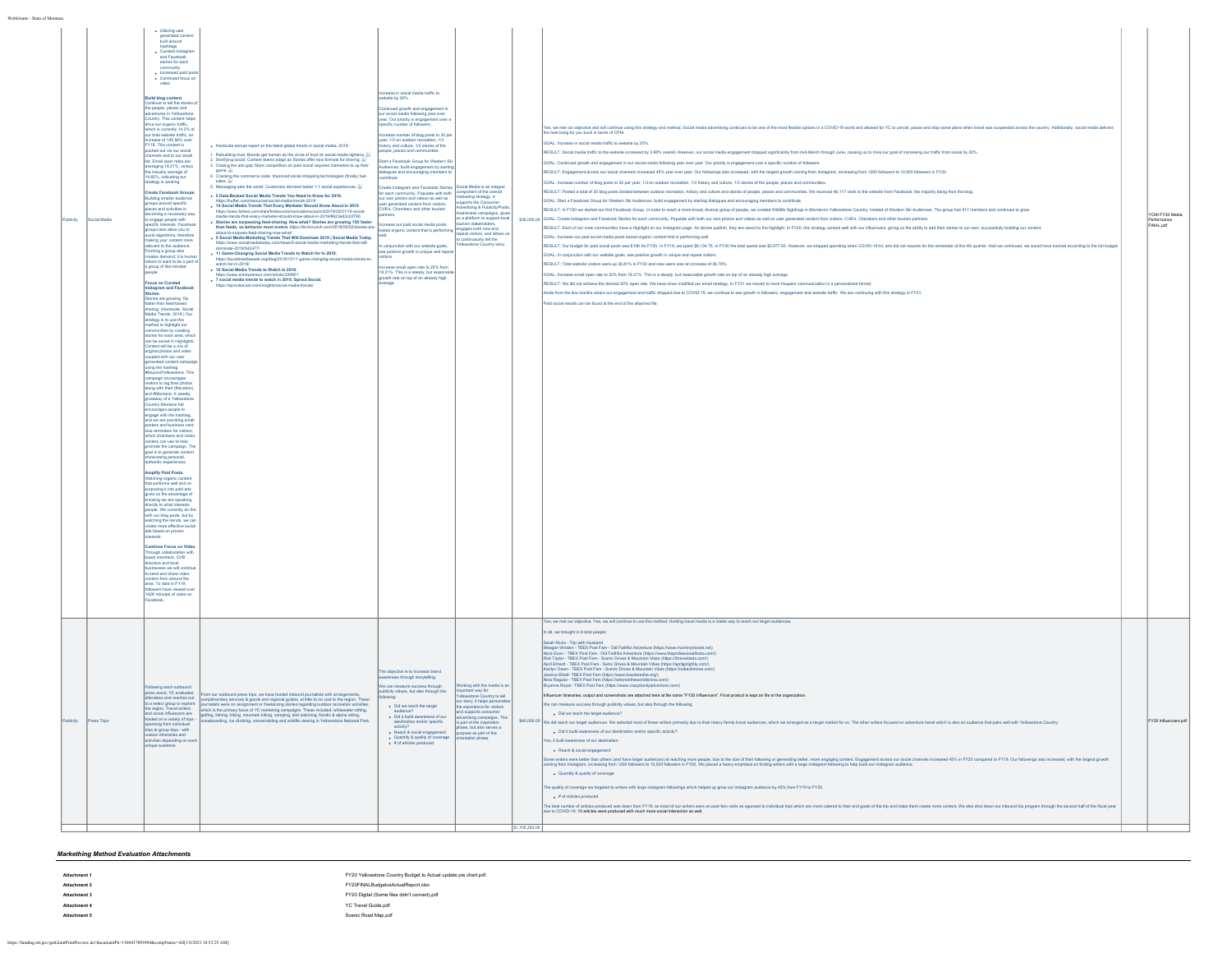| WebGrants - State of Montana |          |             |                                                                                                                                                                                                                                                                                                                                                                                                                                                                                                                                                                                                                                                                                                                                                                                                                                                                                                                                                                                                                                                                                                                                                                                                                                                                                                                                                                                                                                                                                                                                                                                                                                                                                                                                                                                                                                                                                                                                                                                                                                                                                                                                                                                                                                                                                                                                                                                                                                                                                                                                                                                                                                                                             |                                                                                                                                                                                                                                                                                                                                                                                                                                                                                                                                                                                                                                                                                                                                                                                                                                                                                                                                                                                                                                                                                                                                                                                                                                                                                                                                                                                                                                                                                                                                                                                                                                                                                                         |                                                                                                                                                                                                                                                                                                                                                                                                                                                                                                                                                                                                                                                                                                                                                                                                                                                                                                                                                                                                                                |                                                                                                                                                                                                                                                                                                     |               |                                                                                                                                                                                                                                                                                                                                                                                                                                                                                                                                                                                                                                                                                                                                                                                                                                                                                                                                                                                                                                                                                                                                                                                                                                                                                                                                                                                                                                                                                                                                                                                                                                                                                                                                                                                                                                                                                                                                                                                                                                                                                                                                                                                                                                                                                                                                                                                                                                                                                                                                                                                                                                                                                                                                                                                                                                                                                                                                                                                                                                                                                                                                                                                                                                                                                                                                                                                                                                         |                                            |
|------------------------------|----------|-------------|-----------------------------------------------------------------------------------------------------------------------------------------------------------------------------------------------------------------------------------------------------------------------------------------------------------------------------------------------------------------------------------------------------------------------------------------------------------------------------------------------------------------------------------------------------------------------------------------------------------------------------------------------------------------------------------------------------------------------------------------------------------------------------------------------------------------------------------------------------------------------------------------------------------------------------------------------------------------------------------------------------------------------------------------------------------------------------------------------------------------------------------------------------------------------------------------------------------------------------------------------------------------------------------------------------------------------------------------------------------------------------------------------------------------------------------------------------------------------------------------------------------------------------------------------------------------------------------------------------------------------------------------------------------------------------------------------------------------------------------------------------------------------------------------------------------------------------------------------------------------------------------------------------------------------------------------------------------------------------------------------------------------------------------------------------------------------------------------------------------------------------------------------------------------------------------------------------------------------------------------------------------------------------------------------------------------------------------------------------------------------------------------------------------------------------------------------------------------------------------------------------------------------------------------------------------------------------------------------------------------------------------------------------------------------------|---------------------------------------------------------------------------------------------------------------------------------------------------------------------------------------------------------------------------------------------------------------------------------------------------------------------------------------------------------------------------------------------------------------------------------------------------------------------------------------------------------------------------------------------------------------------------------------------------------------------------------------------------------------------------------------------------------------------------------------------------------------------------------------------------------------------------------------------------------------------------------------------------------------------------------------------------------------------------------------------------------------------------------------------------------------------------------------------------------------------------------------------------------------------------------------------------------------------------------------------------------------------------------------------------------------------------------------------------------------------------------------------------------------------------------------------------------------------------------------------------------------------------------------------------------------------------------------------------------------------------------------------------------------------------------------------------------|--------------------------------------------------------------------------------------------------------------------------------------------------------------------------------------------------------------------------------------------------------------------------------------------------------------------------------------------------------------------------------------------------------------------------------------------------------------------------------------------------------------------------------------------------------------------------------------------------------------------------------------------------------------------------------------------------------------------------------------------------------------------------------------------------------------------------------------------------------------------------------------------------------------------------------------------------------------------------------------------------------------------------------|-----------------------------------------------------------------------------------------------------------------------------------------------------------------------------------------------------------------------------------------------------------------------------------------------------|---------------|-----------------------------------------------------------------------------------------------------------------------------------------------------------------------------------------------------------------------------------------------------------------------------------------------------------------------------------------------------------------------------------------------------------------------------------------------------------------------------------------------------------------------------------------------------------------------------------------------------------------------------------------------------------------------------------------------------------------------------------------------------------------------------------------------------------------------------------------------------------------------------------------------------------------------------------------------------------------------------------------------------------------------------------------------------------------------------------------------------------------------------------------------------------------------------------------------------------------------------------------------------------------------------------------------------------------------------------------------------------------------------------------------------------------------------------------------------------------------------------------------------------------------------------------------------------------------------------------------------------------------------------------------------------------------------------------------------------------------------------------------------------------------------------------------------------------------------------------------------------------------------------------------------------------------------------------------------------------------------------------------------------------------------------------------------------------------------------------------------------------------------------------------------------------------------------------------------------------------------------------------------------------------------------------------------------------------------------------------------------------------------------------------------------------------------------------------------------------------------------------------------------------------------------------------------------------------------------------------------------------------------------------------------------------------------------------------------------------------------------------------------------------------------------------------------------------------------------------------------------------------------------------------------------------------------------------------------------------------------------------------------------------------------------------------------------------------------------------------------------------------------------------------------------------------------------------------------------------------------------------------------------------------------------------------------------------------------------------------------------------------------------------------------------------------------------------|--------------------------------------------|
|                              | ublicity | ocial Media | · Utilizing user<br>generated content<br>built around<br>hashtags<br>· Curated Instagran<br>and Facebook<br>stories for each<br>community<br>· Increased paid por<br>· Continued focus or<br>video<br>Build blog content.<br>Continue to tell the stories<br>the people, places and<br>ventures in Yellowstone<br>juntry. This content helps<br>drive our organic traffic,<br>hich is currently 14.2% of<br>of total website traffic, and<br>crease of 145.56% over<br>FY18. This content is<br>shed out via our social<br>channels and to our email<br>list. Email open rates are<br>averaging 18.21%, versus<br>the industry average of<br>4.65%, indicating our<br>ategy is working.<br><b>Create Facebook Groups</b><br>Iding smaller audience<br>groups around specific<br>laces and activities is<br>ning a necessary w<br>engage people with<br>cific interests. Facebool<br>of uov wolls oals aguon<br>old algorithms, therefore<br>aking your content more<br>evant to the audience.<br>.<br>Soming a group also<br>reates demand: it is hum<br>sates demand; it is human<br>ture to want to be a part o<br>a group of like-minded<br>ocus on Curated<br>Instagram and Facebook<br>Stories.<br>Stories are growing 15x<br>aster than feed-based<br>sharing. (Hootsuite, Social<br>Media Trends, 2019.) Our<br>strategy is to use this<br>ethod to highlight our<br>ries for each area, whi<br>an be saved in Highlight<br>Iontent will be a mix of<br>ginal photos and video<br>pled with our user<br>pled with our user<br>erated content campaig<br>using the hashtag<br>ondYellowstone, This<br>spalgn encourages<br>isitors to tag their photos<br>long with their (#location<br>nd #Montana, A weekly<br>Iveaway of a Yellowstone<br>untry Montana hat<br>courages people to<br>gage with the hashtag<br>d we are providing sm.<br>sters and business card<br>reminders for visitors<br>ich chambers and visit<br>niers can use to help<br>omote the campaign. Th<br>goal is to generate content<br>showcasing personal,<br>authentic experiences.<br><b>Amplify Paid Posts.</b><br>Watching organic content<br>that performs well and re-<br>osing it into paid ads<br>es us the advantage of<br>wing we are speaking<br>lirectly to what interests<br>ople. We currently do the<br>th our blog posts, but by<br>tching the trends, we ca<br>reate more effective social<br>ads based on proven<br>Continue Focus on Video<br>trough collaboration with<br>rd members, CVB<br>ectors and local<br>esses we will continu<br>send and share video<br>int from around the<br>area. To date in FY19,<br>wers have viewed o<br>142K minutes of video on<br>ebook. | . Hootsuite annual report on the latest global trends in social media, 2019:<br>1. Rebuilding trust: Brands get human as the circle of trust on social media tightens.<br>2. Storifying social: Content teams adapt as Stories offer new formats for sharing. We<br>2. Closing the ads gap: More competition on paid social requires marketers to up their<br>game. We ads gap: More competition on paid social requires marketers to up their<br>4. Cracking the commerce code: Improved social shoppin<br>sales, U2<br>5. Messaging eats the world: Customers demand better 1:1 social experiences. $\frac{17}{26}$<br>. 5 Data-Backed Social Media Trends You Need to Know for 2019.<br>ntips://butter.com/resources/social-media-trends-2019<br>14 Social Media Trends That Every Marketer Should Know About In 2019<br>https://www.forbes.com/sites/forl<br>nicationscouncil/2019/02/01/14-social-<br>la-trends-that-every-marketer-should-know-about-in-2019/#623ed3c03796<br>. Stories are surpassing feed-sharing. Now what? Stories are growing 15X faster<br>than feeds, so behavior must evolve, https://techcrunch.com/2018/05/02/stories-an<br>about-to-surpass-feed-sharing-now-what/<br>+ 5 Social Media Marketing Trends That Will Dominate 2019   Social Media Today.<br>oday.com/news/5-social-media-marketing-trends-that-will-<br>https://www.socialmed<br>dominate-2019/543477/<br>11 Game-Changing Social Media Trends to Watch for In 2019.<br>https://socialmediaweek.org/blog/2018/12/11-game-changing-social-media-trends-to-<br>watch-for-in-2019/<br>+ 10 Social Media Trends to Watch in 2019.<br>. 7 social media trends to watch in 2019, Sprout Social.<br>https://sprc | ease in social media traffic to<br>site by 20%.<br>ntinued growth and engagement in<br>our social media following year over<br>year. Our priority is engagement over a<br>pecific number of followers.<br>sase number of blog posts to 30 pe<br>year; 1/3 on outdoor recreation, 1/3<br>istory and culture. 1/3 stories of the<br>ple, places and co<br>tart a Facebook Group for Western Sk<br>Audiences, build engagement by starting<br>dialogues and encouraging members to<br>ribute.<br>reate Instagram and Facebook Stories<br>reate instagram and Pacebook Stones<br>or each community. Populate with both<br>ur own photos and videos as well as<br>user generated content from visitors,<br>CVR's Chambers and other tourism<br>ease our paid social media posts<br>ed organic content that is performing<br>conjunction with our website goals.<br>ee positive growth in unique and<br>ase email coen rate to 20% from<br>18.21%. This is a steady, but reasons<br>growth rate on top of an already high<br>verage. | cial Media is an integra<br>mponent of the overall<br>arketing strategy. It<br>pports the Consumer<br>dvertising & Publicity/Publi<br>vareness campaigns, gives<br>is a platform to support<br>engages both new and<br>speat visitors, and allows<br>continuously tell the<br>owstone Country story |               | es, we met av dijective and will continue using this strategy and method. Social media advertising continues to be not flee that disclose in a COVID-19 world and allowed for YC to cancel, pause and stop some plans when tra<br>3OAL: Increase in social media traffic to website by 20%.<br>IESULT: Social media traffic to the website increased by 3.98% overall. However, our social media engagement dropped significantly from mid-March through June, causing us to miss our goal of increasing our traffic from soc<br>GOAL: Continued growth and engagement in our social media following year over year. Our priority is engagement over a specific number of followers.<br>RESULT: Engagement across our social channels increased 45% year over year. Our followings also increased, with the largest growth coming from Instagram, increasing from 1200 followers to 10,500 followers in FY20.<br>GOAL: Increase number of blog posts to 30 per year; 1/3 on outdoor recreation, 1/3 history and culture, 1/3 stories of the people, places and communities<br>RESULT: Posted a total of 35 blog posts divided between outdoor recreation, history and culture and stories of people, places and communities. We received 48,117 visits to the website from Facebook, the majority being from<br>GOAL: Start a Facebook Group for Western Ski Audiences, build engagement by starting dialogues and encouraging members to contribute.<br>RESULT: In FY20 we started our first Facebook Group. In order to reach a more broad, diverse group of people, we created Wildlife Sightings in Montana's Yellowstone Country, instead of Western Ski Audiences. The group has<br>\$35,000.00 GDAL: Create Instagram and Facebook Stories for each community. Populate with both our own photos and videos as well as user generated content from visitors, CVB's, Chambers and other tourism partners.<br>RESULT: Each of our main communities have a Highlight on our Instagram page. As stories publish, they are saved to the highlight. In FY20, this strategy worked well with our influencers, giving us the ability to add their<br>GOAL: Increase our paid social media posts based organic content that is performing well.<br>RESULT: Our budget for paid social posts was \$10K for FY20. In FY19, we spent \$6,134.75, in FY20 the total spend was \$5,977.93. However, we stopped spending when COVID-19 hit, and did not resume for the remainder of the 4t<br>SOAL: In conjunction with our website goals, see positive growth in unique and repeat visitors.<br>RESULT: Total website visitors were up 36.81% in FY20 and new users saw an increase of 36.76%.<br>GOAL: Increase email open rate to 20% from 18.21%. This is a steady, but reasonable growth rate on top of an already high average.<br>RESULT: We did not achieve the desired 20% open rate. We have since modified our email strategy. In FY21 we moved to more frequent communication in a personalized format.<br>Aside from the few months where our engagement and traffic dropped due to COVID-19, we continue to see growth in followers, engagement and website traffic. We are continuing with this strategy in FY21<br>Paid social results can be found at the end of the attached file<br>Yes, we met our objective. Yes, we will continue to use this method. Hosting travel media is a viable way to reach our target audiences. | YCMI FY20 Media<br>erformance<br>FINAL.pdf |
|                              | icity    |             | lowing each outbound<br>iss event, YC evaluates<br>dees and reaches out<br>to a select group to explore<br>the region. Travel writers<br>sted on a variety of trips -<br>anning from individual<br>trips to group trips - with<br>custom itineraries and<br>activities depending on ea<br>nique audience.                                                                                                                                                                                                                                                                                                                                                                                                                                                                                                                                                                                                                                                                                                                                                                                                                                                                                                                                                                                                                                                                                                                                                                                                                                                                                                                                                                                                                                                                                                                                                                                                                                                                                                                                                                                                                                                                                                                                                                                                                                                                                                                                                                                                                                                                                                                                                                   | rom our outbound press trips, we have hosted inbound lournalists with arrangements<br>our consolor is proposed in the consequence of the material consequence of the region. These<br>mallists were on assignment or freelancing stories regarding outdoor recreation activities,<br>mallists were on assignment or freela<br>which is the orimary focus of YC marketing campaigns. These included: whitewater rafting.<br>goffing, fishing, hiking, mountain biking, camping, bird watching, Nordic & alpine skiing<br>snowboarding, ice climbing, snowmobiling and wildlife viewing in Yellowstone National                                                                                                                                                                                                                                                                                                                                                                                                                                                                                                                                                                                                                                                                                                                                                                                                                                                                                                                                                                                                                                                                                           | e objective is to increase brand<br>areness through storytelling.<br>ublicity values, but also through the<br>. Did we reach the target<br>. Did it build awareness of our<br>desitination and/or specific<br>activity?<br>- Reach & social engagement<br>- Quantity & quality of coverage<br>$\bullet$ # of articles produced                                                                                                                                                                                                                                                                                                                                                                                                                                                                                                                                                                                                                                                                                                 | king with the media is a<br>important way for<br>Yellowstone Country to tell<br>our story; it helps per<br>experience for visitors<br>and supports consume<br>advertising campaigns. This<br>is part of the inspiration<br>phase, but also serves a<br>purpose as part of the<br>ntation phase.     |               | n all, we brought in 8 total people:<br>Sarah Ricks - Trip with Husband<br>Usaam volcai - Yny amn i Auseane<br>Meagan Wristen - TBEX Post Farm - Old Falthful Adventure (https://www.mommytravels.net)<br>Nora Durn - TBEX Post Farm - Old Falthful Adventure (https://www.theprofessionalhobo.com/)<br>Rob Taylo<br>April Erhard - TBEX Post Fam - Senic Drives & Mountain Vibes (https://aprilgolightly.com/)<br>an emano - 1 oezh e roar rann - oemo un vez a moumann vuoez (mapazoaping)<br>srilyn Owen - TBEX Post Fam - Scenic Drives & Mountain Vibes (https://inot<br>ssica Elliott- TBEX Post Fam (https://www.howdareshe.org/)<br>Nina Ragusa - TBEX Post Fam (https://whereintheworldisnina.com/)<br>anna Royal - TBEX Post Fam (https://www.crazyfamilyadventure.com/)<br>Influencer ltineraries, output and screenshots are attached here at file name "FY20 Influencers". Final product is kept on file at the organization.<br>We can measure success through publicity values, but also through the following:<br>. Did we reach the targ<br>\$40,000.00 We did reach our larget audiences. We selected most of these witters primarily due to their heavy family-travel audiences, which we emerged as a target market for us. The other writers focused on adventure trave<br>. Did it build awareness of our desitination and/or specific activity?<br>Yes, it built awareness of our destination.<br>· Reach & social engagement<br>me with term mediate in the large undercost attaching more posit, due to the interest of methoding operating between more engaging conter. Experience auraching to include and the interest and interest and the state of the<br>. Quantity & quality of coverage<br>The quality of coverage wa targeted to writers with large instagram followings which helped up grow our instagram audience by 45% from FY19 to FY20.<br>· # of articles produced<br>The total number of articles produced was down from FY19, as most of our writers were on post-fam visits as opposed to individual trips which are more catered to their end goals of the trip and helps them create more conte<br>due to COVID-19. 10 articles were produced with much more social interaction as well.                                                                                                                                                                                                                                                                                                                                                                                                                                                                                                                                                                                                                                                                                                                                                                                                                                                                                                                                                                                                                                                                                                                                                                                                | Y20 Influencers.pdf                        |
|                              |          |             |                                                                                                                                                                                                                                                                                                                                                                                                                                                                                                                                                                                                                                                                                                                                                                                                                                                                                                                                                                                                                                                                                                                                                                                                                                                                                                                                                                                                                                                                                                                                                                                                                                                                                                                                                                                                                                                                                                                                                                                                                                                                                                                                                                                                                                                                                                                                                                                                                                                                                                                                                                                                                                                                             |                                                                                                                                                                                                                                                                                                                                                                                                                                                                                                                                                                                                                                                                                                                                                                                                                                                                                                                                                                                                                                                                                                                                                                                                                                                                                                                                                                                                                                                                                                                                                                                                                                                                                                         |                                                                                                                                                                                                                                                                                                                                                                                                                                                                                                                                                                                                                                                                                                                                                                                                                                                                                                                                                                                                                                |                                                                                                                                                                                                                                                                                                     | \$1,705,263.0 |                                                                                                                                                                                                                                                                                                                                                                                                                                                                                                                                                                                                                                                                                                                                                                                                                                                                                                                                                                                                                                                                                                                                                                                                                                                                                                                                                                                                                                                                                                                                                                                                                                                                                                                                                                                                                                                                                                                                                                                                                                                                                                                                                                                                                                                                                                                                                                                                                                                                                                                                                                                                                                                                                                                                                                                                                                                                                                                                                                                                                                                                                                                                                                                                                                                                                                                                                                                                                                         |                                            |

*Markething Method Evaluation Attachments*

| Attachment 1 | FY20 Yellowstone Country Budget to Actual update pie chart.pdf |
|--------------|----------------------------------------------------------------|
| Attachment 2 | FY20FINALBudgetvsActualReport.xlsx                             |
| Attachment 3 | FY20 Digital (Some files didn't convert).pdf                   |
| Attachment 4 | YC Travel Guide.pdf                                            |
| Attachment 5 | Scenic Road Map.pdf                                            |
|              |                                                                |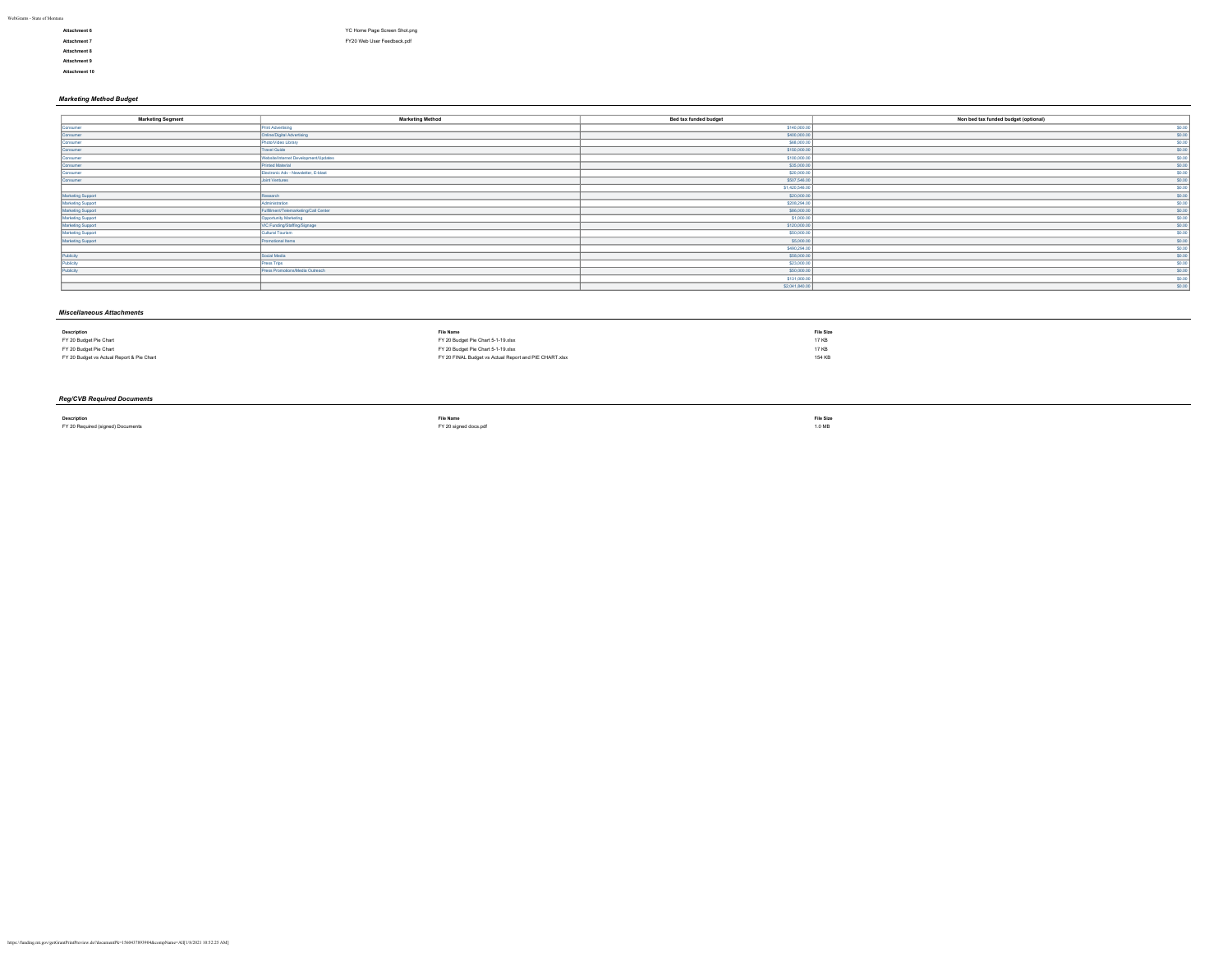- **Attachment 8 Attachment 9**
- **Attachment 10**
- 
- **Attachment 6** [YC Home Page Screen Shot.png](https://funding.mt.gov/fileDownload.jsp?filename=1609802187292_YC+Home+Page+Screen+Shot.png) **Attachment 7** [FY20 Web User Feedback.pdf](https://funding.mt.gov/fileDownload.jsp?filename=1609802187730_FY20+Web+User+Feedback.pdf)

## *Marketing Method Budget*

| <b>Marketing Segment</b> | <b>Marketing Method</b>              | Bed tax funded budget | Non bed tax funded budget (optional) |
|--------------------------|--------------------------------------|-----------------------|--------------------------------------|
| Consumer                 | Print Advertising                    | \$140,000.00          | \$0.00                               |
| Consumer                 | <b>Online/Digital Advertising</b>    | \$400,000.00          | \$0.00                               |
| Consumer                 | Photo/Video Library                  | \$68,000.00           | \$0.00<br>--                         |
| Consumer                 | <b>Travel Guide</b>                  | \$150,000.00          | \$0.00<br>_                          |
| Consumer                 | Website/Internet Development/Updates | \$100,000.00          | \$0.00                               |
| Consumer                 | Printed Material                     | \$35,000.00           | \$0.00<br>_                          |
| Consumer                 | Electronic Adv - Newsletter, E-blast | \$20,000.00           | \$0.00                               |
| Consumer                 | Joint Ventures                       | \$507,546.00          | \$0.00<br>_                          |
| __                       |                                      | \$1,420,546.00        | \$0.00                               |
| Marketing Support        | Research                             | \$20,000.00           | --<br>\$0.00                         |
| Marketing Support        | Administration                       | \$208,294.00          | _<br>\$0.00                          |
| Marketing Support        | Fulfilment/Telemarketing/Call Center | \$86,000.00           | --<br>\$0.00<br>--                   |
| <b>Marketing Support</b> | Opportunity Marketing                | \$1,000.00            | \$0.00<br>--                         |
| Marketing Support        | VIC Funding/Staffing/Signage         | \$120,000.00          | \$0.00                               |
| <b>Marketing Support</b> | Cultural Tourism                     | \$50,000.00           | \$0.00                               |
| Marketing Support        | Promotional Items                    | \$5,000.00            | \$0.00                               |
|                          |                                      | \$490,294.00          | \$0.00                               |
| Publicity                | Social Media                         | \$58,000.00           | __<br>\$0.00<br>__                   |
| Publicity                | Press Trips                          | \$23,000.00           | \$0.00<br>__                         |
| Publicity                | Press Promotions/Media Outreach      | \$50,000.00           | \$0.00<br>__                         |
|                          |                                      | \$131,000.00          | \$0.00<br>_                          |
|                          |                                      | \$2,041,840.00        | \$0.00                               |

## *Miscellaneous Attachments*

| <b>Description</b>                        | <b>File Name</b>                                       | <b>File Size</b> |
|-------------------------------------------|--------------------------------------------------------|------------------|
| FY 20 Budget Pie Chart                    | FY 20 Budget Pie Chart 5-1-19.xlsx                     | 17 KB            |
| FY 20 Budget Pie Chart                    | FY 20 Budget Pie Chart 5-1-19.xlsx                     | 17 KB            |
| FY 20 Budget vs Actual Report & Pie Chart | FY 20 FINAL Budget vs Actual Report and PIE CHART.xlsx | 154 KB           |
|                                           |                                                        |                  |

# *Reg/CVB Required Documents*

**Description File Name File Size** FY 20 Required (signed) Documents [FY 20 signed docs.pdf](https://funding.mt.gov/fileDownload.jsp?filename=1556650601597_FY+20+signed+docs.pdf) 1.0 MB